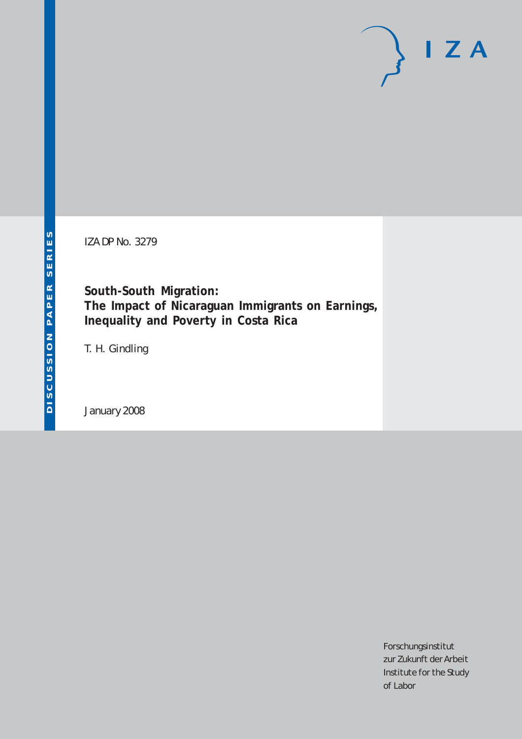IZA DP No. 3279

**South-South Migration: The Impact of Nicaraguan Immigrants on Earnings, Inequality and Poverty in Costa Rica**

T. H. Gindling

January 2008

Forschungsinstitut zur Zukunft der Arbeit Institute for the Study of Labor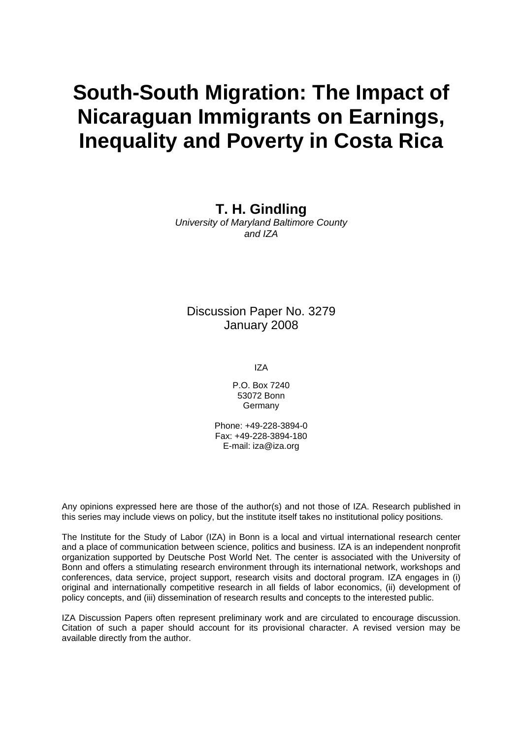# **South-South Migration: The Impact of Nicaraguan Immigrants on Earnings, Inequality and Poverty in Costa Rica**

**T. H. Gindling** 

*University of Maryland Baltimore County and IZA* 

Discussion Paper No. 3279 January 2008

IZA

P.O. Box 7240 53072 Bonn Germany

Phone: +49-228-3894-0 Fax: +49-228-3894-180 E-mail: [iza@iza.org](mailto:iza@iza.org)

Any opinions expressed here are those of the author(s) and not those of IZA. Research published in this series may include views on policy, but the institute itself takes no institutional policy positions.

The Institute for the Study of Labor (IZA) in Bonn is a local and virtual international research center and a place of communication between science, politics and business. IZA is an independent nonprofit organization supported by Deutsche Post World Net. The center is associated with the University of Bonn and offers a stimulating research environment through its international network, workshops and conferences, data service, project support, research visits and doctoral program. IZA engages in (i) original and internationally competitive research in all fields of labor economics, (ii) development of policy concepts, and (iii) dissemination of research results and concepts to the interested public.

IZA Discussion Papers often represent preliminary work and are circulated to encourage discussion. Citation of such a paper should account for its provisional character. A revised version may be available directly from the author.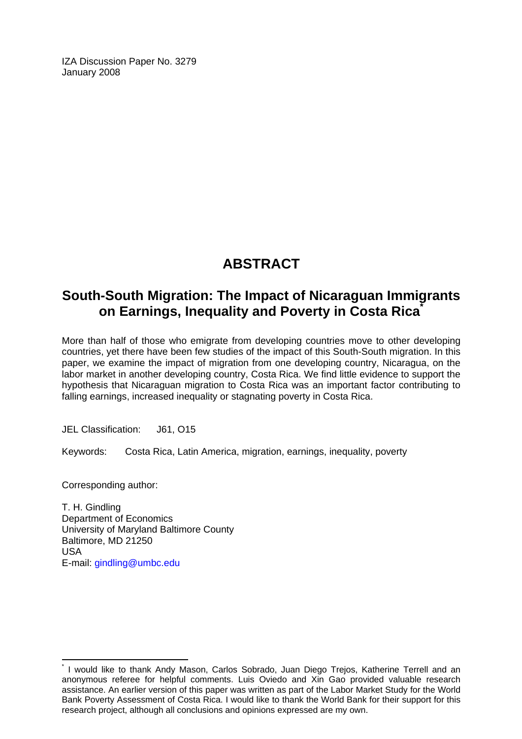IZA Discussion Paper No. 3279 January 2008

# **ABSTRACT**

# **South-South Migration: The Impact of Nicaraguan Immigrants on Earnings, Inequality and Poverty in Costa Rica[\\*](#page-2-0)**

More than half of those who emigrate from developing countries move to other developing countries, yet there have been few studies of the impact of this South-South migration. In this paper, we examine the impact of migration from one developing country, Nicaragua, on the labor market in another developing country, Costa Rica. We find little evidence to support the hypothesis that Nicaraguan migration to Costa Rica was an important factor contributing to falling earnings, increased inequality or stagnating poverty in Costa Rica.

JEL Classification: J61, O15

Keywords: Costa Rica, Latin America, migration, earnings, inequality, poverty

Corresponding author:

 $\overline{a}$ 

T. H. Gindling Department of Economics University of Maryland Baltimore County Baltimore, MD 21250 USA E-mail: [gindling@umbc.edu](mailto:gindling@umbc.edu)

<span id="page-2-0"></span><sup>\*</sup> I would like to thank Andy Mason, Carlos Sobrado, Juan Diego Trejos, Katherine Terrell and an anonymous referee for helpful comments. Luis Oviedo and Xin Gao provided valuable research assistance. An earlier version of this paper was written as part of the Labor Market Study for the World Bank Poverty Assessment of Costa Rica. I would like to thank the World Bank for their support for this research project, although all conclusions and opinions expressed are my own.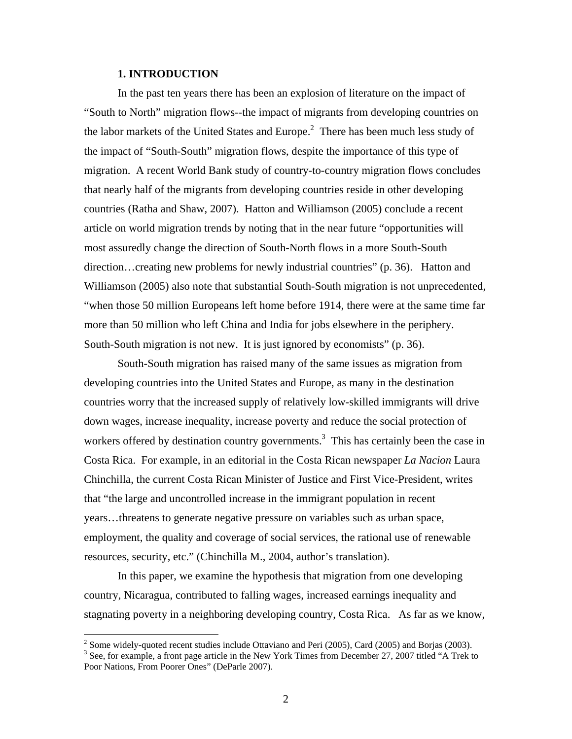#### **1. INTRODUCTION**

In the past ten years there has been an explosion of literature on the impact of "South to North" migration flows--the impact of migrants from developing countries on the labor markets of the United States and Europe.<sup>2</sup> There has been much less study of the impact of "South-South" migration flows, despite the importance of this type of migration. A recent World Bank study of country-to-country migration flows concludes that nearly half of the migrants from developing countries reside in other developing countries (Ratha and Shaw, 2007). Hatton and Williamson (2005) conclude a recent article on world migration trends by noting that in the near future "opportunities will most assuredly change the direction of South-North flows in a more South-South direction…creating new problems for newly industrial countries" (p. 36). Hatton and Williamson (2005) also note that substantial South-South migration is not unprecedented, "when those 50 million Europeans left home before 1914, there were at the same time far more than 50 million who left China and India for jobs elsewhere in the periphery. South-South migration is not new. It is just ignored by economists" (p. 36).

South-South migration has raised many of the same issues as migration from developing countries into the United States and Europe, as many in the destination countries worry that the increased supply of relatively low-skilled immigrants will drive down wages, increase inequality, increase poverty and reduce the social protection of workers offered by destination country governments.<sup>[3](#page-3-1)</sup> This has certainly been the case in Costa Rica. For example, in an editorial in the Costa Rican newspaper *La Nacion* Laura Chinchilla, the current Costa Rican Minister of Justice and First Vice-President, writes that "the large and uncontrolled increase in the immigrant population in recent years…threatens to generate negative pressure on variables such as urban space, employment, the quality and coverage of social services, the rational use of renewable resources, security, etc." (Chinchilla M., 2004, author's translation).

In this paper, we examine the hypothesis that migration from one developing country, Nicaragua, contributed to falling wages, increased earnings inequality and stagnating poverty in a neighboring developing country, Costa Rica. As far as we know,

 $\overline{a}$ 

<span id="page-3-0"></span><sup>&</sup>lt;sup>2</sup> Some widely-quoted recent studies include Ottaviano and Peri (2005), Card (2005) and Borjas (2003). <sup>3</sup> See for example, a front percential in the New York Times from December 27, 2007 titled "A Trak t

<span id="page-3-1"></span><sup>&</sup>lt;sup>3</sup> See, for example, a front page article in the New York Times from December 27, 2007 titled "A Trek to Poor Nations, From Poorer Ones" (DeParle 2007).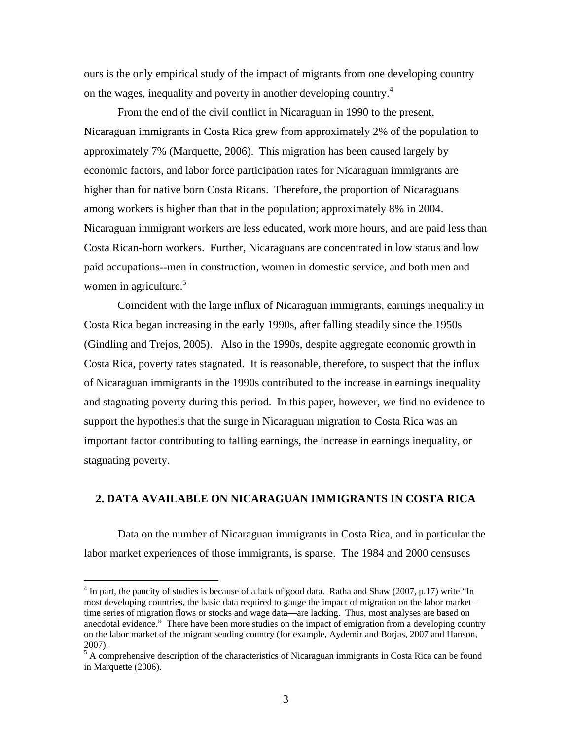ours is the only empirical study of the impact of migrants from one developing country on the wages, inequality and poverty in another developing country.<sup>[4](#page-4-0)</sup>

From the end of the civil conflict in Nicaraguan in 1990 to the present, Nicaraguan immigrants in Costa Rica grew from approximately 2% of the population to approximately 7% (Marquette, 2006). This migration has been caused largely by economic factors, and labor force participation rates for Nicaraguan immigrants are higher than for native born Costa Ricans. Therefore, the proportion of Nicaraguans among workers is higher than that in the population; approximately 8% in 2004. Nicaraguan immigrant workers are less educated, work more hours, and are paid less than Costa Rican-born workers. Further, Nicaraguans are concentrated in low status and low paid occupations--men in construction, women in domestic service, and both men and women in agriculture.<sup>[5](#page-4-1)</sup>

Coincident with the large influx of Nicaraguan immigrants, earnings inequality in Costa Rica began increasing in the early 1990s, after falling steadily since the 1950s (Gindling and Trejos, 2005). Also in the 1990s, despite aggregate economic growth in Costa Rica, poverty rates stagnated. It is reasonable, therefore, to suspect that the influx of Nicaraguan immigrants in the 1990s contributed to the increase in earnings inequality and stagnating poverty during this period. In this paper, however, we find no evidence to support the hypothesis that the surge in Nicaraguan migration to Costa Rica was an important factor contributing to falling earnings, the increase in earnings inequality, or stagnating poverty.

#### **2. DATA AVAILABLE ON NICARAGUAN IMMIGRANTS IN COSTA RICA**

Data on the number of Nicaraguan immigrants in Costa Rica, and in particular the labor market experiences of those immigrants, is sparse. The 1984 and 2000 censuses

 $\overline{a}$ 

<span id="page-4-0"></span> $4$  In part, the paucity of studies is because of a lack of good data. Ratha and Shaw (2007, p.17) write "In most developing countries, the basic data required to gauge the impact of migration on the labor market – time series of migration flows or stocks and wage data—are lacking. Thus, most analyses are based on anecdotal evidence." There have been more studies on the impact of emigration from a developing country on the labor market of the migrant sending country (for example, Aydemir and Borjas, 2007 and Hanson, 2007).<br><sup>5</sup> A comprehensive description of the characteristics of Nicaraguan immigrants in Costa Rica can be found

<span id="page-4-1"></span>in Marquette (2006).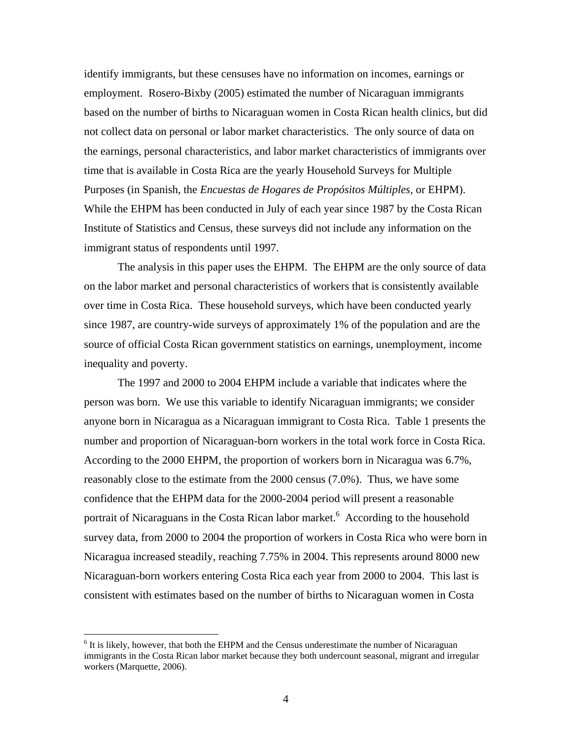identify immigrants, but these censuses have no information on incomes, earnings or employment. Rosero-Bixby (2005) estimated the number of Nicaraguan immigrants based on the number of births to Nicaraguan women in Costa Rican health clinics, but did not collect data on personal or labor market characteristics. The only source of data on the earnings, personal characteristics, and labor market characteristics of immigrants over time that is available in Costa Rica are the yearly Household Surveys for Multiple Purposes (in Spanish, the *Encuestas de Hogares de Propósitos Múltiples,* or EHPM). While the EHPM has been conducted in July of each year since 1987 by the Costa Rican Institute of Statistics and Census, these surveys did not include any information on the immigrant status of respondents until 1997.

The analysis in this paper uses the EHPM. The EHPM are the only source of data on the labor market and personal characteristics of workers that is consistently available over time in Costa Rica. These household surveys, which have been conducted yearly since 1987, are country-wide surveys of approximately 1% of the population and are the source of official Costa Rican government statistics on earnings, unemployment, income inequality and poverty.

The 1997 and 2000 to 2004 EHPM include a variable that indicates where the person was born. We use this variable to identify Nicaraguan immigrants; we consider anyone born in Nicaragua as a Nicaraguan immigrant to Costa Rica. Table 1 presents the number and proportion of Nicaraguan-born workers in the total work force in Costa Rica. According to the 2000 EHPM, the proportion of workers born in Nicaragua was 6.7%, reasonably close to the estimate from the 2000 census (7.0%). Thus, we have some confidence that the EHPM data for the 2000-2004 period will present a reasonable portrait of Nicaraguans in the Costa Rican labor market.<sup>[6](#page-5-0)</sup> According to the household survey data, from 2000 to 2004 the proportion of workers in Costa Rica who were born in Nicaragua increased steadily, reaching 7.75% in 2004. This represents around 8000 new Nicaraguan-born workers entering Costa Rica each year from 2000 to 2004. This last is consistent with estimates based on the number of births to Nicaraguan women in Costa

<span id="page-5-0"></span> $6$  It is likely, however, that both the EHPM and the Census underestimate the number of Nicaraguan immigrants in the Costa Rican labor market because they both undercount seasonal, migrant and irregular workers (Marquette, 2006).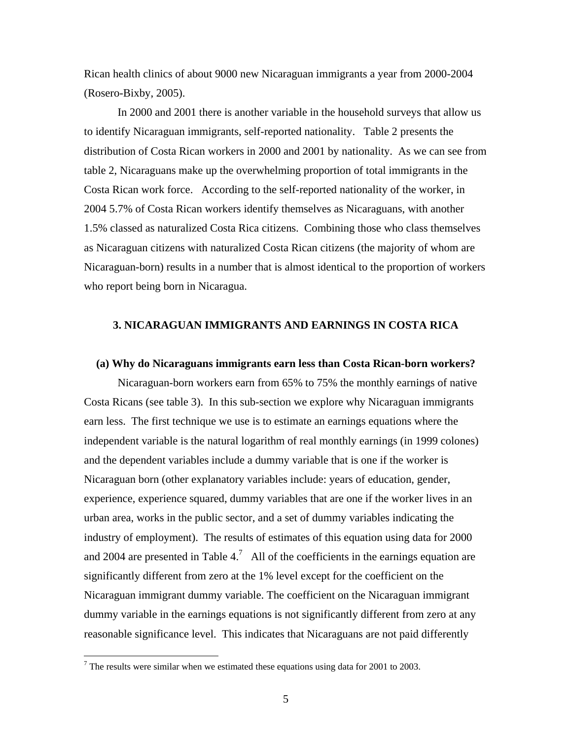Rican health clinics of about 9000 new Nicaraguan immigrants a year from 2000-2004 (Rosero-Bixby, 2005).

In 2000 and 2001 there is another variable in the household surveys that allow us to identify Nicaraguan immigrants, self-reported nationality. Table 2 presents the distribution of Costa Rican workers in 2000 and 2001 by nationality. As we can see from table 2, Nicaraguans make up the overwhelming proportion of total immigrants in the Costa Rican work force. According to the self-reported nationality of the worker, in 2004 5.7% of Costa Rican workers identify themselves as Nicaraguans, with another 1.5% classed as naturalized Costa Rica citizens. Combining those who class themselves as Nicaraguan citizens with naturalized Costa Rican citizens (the majority of whom are Nicaraguan-born) results in a number that is almost identical to the proportion of workers who report being born in Nicaragua.

#### **3. NICARAGUAN IMMIGRANTS AND EARNINGS IN COSTA RICA**

#### **(a) Why do Nicaraguans immigrants earn less than Costa Rican-born workers?**

Nicaraguan-born workers earn from 65% to 75% the monthly earnings of native Costa Ricans (see table 3). In this sub-section we explore why Nicaraguan immigrants earn less. The first technique we use is to estimate an earnings equations where the independent variable is the natural logarithm of real monthly earnings (in 1999 colones) and the dependent variables include a dummy variable that is one if the worker is Nicaraguan born (other explanatory variables include: years of education, gender, experience, experience squared, dummy variables that are one if the worker lives in an urban area, works in the public sector, and a set of dummy variables indicating the industry of employment). The results of estimates of this equation using data for 2000 and 2004 are presented in Table 4.<sup>[7](#page-6-0)</sup> All of the coefficients in the earnings equation are significantly different from zero at the 1% level except for the coefficient on the Nicaraguan immigrant dummy variable. The coefficient on the Nicaraguan immigrant dummy variable in the earnings equations is not significantly different from zero at any reasonable significance level. This indicates that Nicaraguans are not paid differently

<span id="page-6-0"></span><sup>&</sup>lt;sup>7</sup> The results were similar when we estimated these equations using data for 2001 to 2003.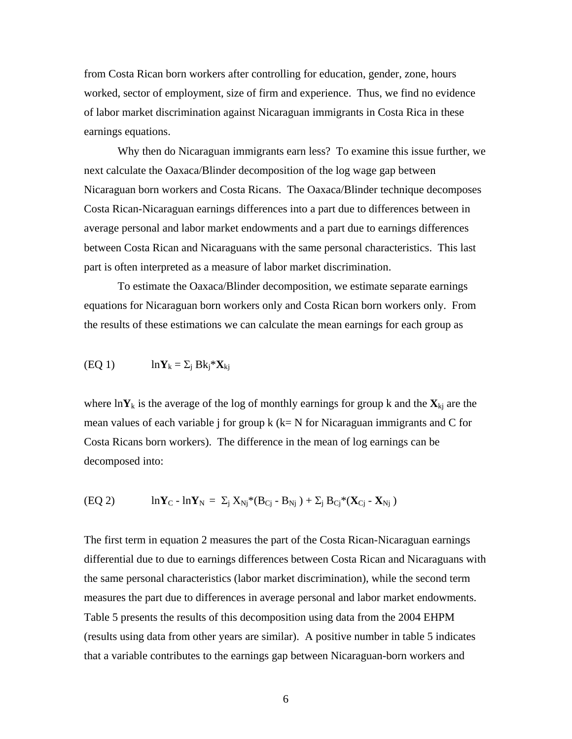from Costa Rican born workers after controlling for education, gender, zone, hours worked, sector of employment, size of firm and experience. Thus, we find no evidence of labor market discrimination against Nicaraguan immigrants in Costa Rica in these earnings equations.

Why then do Nicaraguan immigrants earn less? To examine this issue further, we next calculate the Oaxaca/Blinder decomposition of the log wage gap between Nicaraguan born workers and Costa Ricans. The Oaxaca/Blinder technique decomposes Costa Rican-Nicaraguan earnings differences into a part due to differences between in average personal and labor market endowments and a part due to earnings differences between Costa Rican and Nicaraguans with the same personal characteristics. This last part is often interpreted as a measure of labor market discrimination.

To estimate the Oaxaca/Blinder decomposition, we estimate separate earnings equations for Nicaraguan born workers only and Costa Rican born workers only. From the results of these estimations we can calculate the mean earnings for each group as

(EQ 1) ln**Y**k = Σj Bkj\***X**kj

where  $\ln Y_k$  is the average of the log of monthly earnings for group k and the  $X_{ki}$  are the mean values of each variable j for group  $k$  ( $k = N$  for Nicaraguan immigrants and C for Costa Ricans born workers). The difference in the mean of log earnings can be decomposed into:

$$
(EQ 2) \qquad \qquad \ln Y_{C} - \ln Y_{N} = \sum_{j} X_{Nj}^{*}(B_{Cj} - B_{Nj}) + \sum_{j} B_{Cj}^{*}(X_{Cj} - X_{Nj})
$$

The first term in equation 2 measures the part of the Costa Rican-Nicaraguan earnings differential due to due to earnings differences between Costa Rican and Nicaraguans with the same personal characteristics (labor market discrimination), while the second term measures the part due to differences in average personal and labor market endowments. Table 5 presents the results of this decomposition using data from the 2004 EHPM (results using data from other years are similar). A positive number in table 5 indicates that a variable contributes to the earnings gap between Nicaraguan-born workers and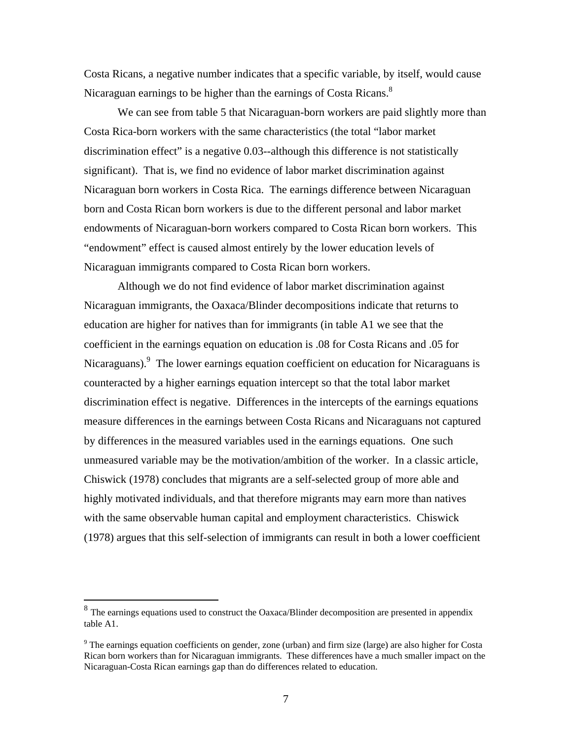Costa Ricans, a negative number indicates that a specific variable, by itself, would cause Nicaraguan earnings to be higher than the earnings of Costa Ricans.<sup>8</sup>

We can see from table 5 that Nicaraguan-born workers are paid slightly more than Costa Rica-born workers with the same characteristics (the total "labor market discrimination effect" is a negative 0.03--although this difference is not statistically significant). That is, we find no evidence of labor market discrimination against Nicaraguan born workers in Costa Rica. The earnings difference between Nicaraguan born and Costa Rican born workers is due to the different personal and labor market endowments of Nicaraguan-born workers compared to Costa Rican born workers. This "endowment" effect is caused almost entirely by the lower education levels of Nicaraguan immigrants compared to Costa Rican born workers.

Although we do not find evidence of labor market discrimination against Nicaraguan immigrants, the Oaxaca/Blinder decompositions indicate that returns to education are higher for natives than for immigrants (in table A1 we see that the coefficient in the earnings equation on education is .08 for Costa Ricans and .05 for Nicaraguans). <sup>[9](#page-8-1)</sup> The lower earnings equation coefficient on education for Nicaraguans is counteracted by a higher earnings equation intercept so that the total labor market discrimination effect is negative. Differences in the intercepts of the earnings equations measure differences in the earnings between Costa Ricans and Nicaraguans not captured by differences in the measured variables used in the earnings equations. One such unmeasured variable may be the motivation/ambition of the worker. In a classic article, Chiswick (1978) concludes that migrants are a self-selected group of more able and highly motivated individuals, and that therefore migrants may earn more than natives with the same observable human capital and employment characteristics. Chiswick (1978) argues that this self-selection of immigrants can result in both a lower coefficient

<span id="page-8-0"></span> $8\text{ The earnings equations used to construct the Oaxaca/Blinder decomposition are presented in appendix}$ table A1.

<span id="page-8-1"></span><sup>&</sup>lt;sup>9</sup> The earnings equation coefficients on gender, zone (urban) and firm size (large) are also higher for Costa Rican born workers than for Nicaraguan immigrants. These differences have a much smaller impact on the Nicaraguan-Costa Rican earnings gap than do differences related to education.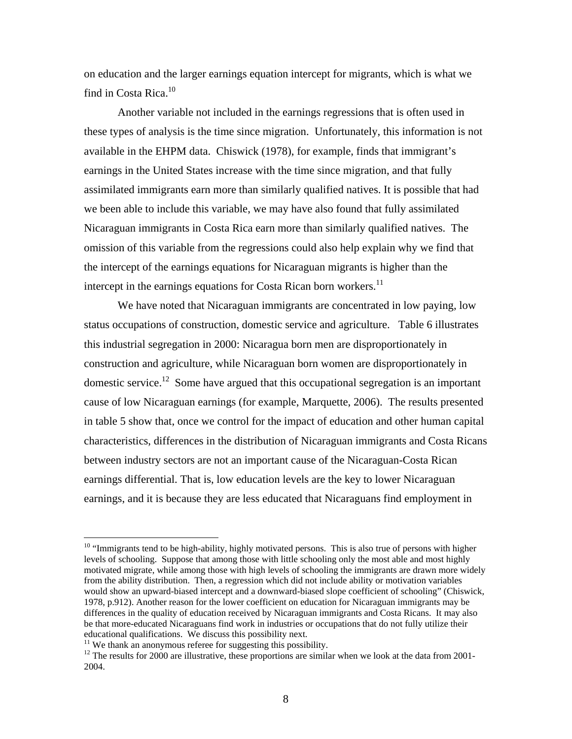on education and the larger earnings equation intercept for migrants, which is what we find in Costa Rica.<sup>10</sup>

Another variable not included in the earnings regressions that is often used in these types of analysis is the time since migration. Unfortunately, this information is not available in the EHPM data. Chiswick (1978), for example, finds that immigrant's earnings in the United States increase with the time since migration, and that fully assimilated immigrants earn more than similarly qualified natives. It is possible that had we been able to include this variable, we may have also found that fully assimilated Nicaraguan immigrants in Costa Rica earn more than similarly qualified natives. The omission of this variable from the regressions could also help explain why we find that the intercept of the earnings equations for Nicaraguan migrants is higher than the intercept in the earnings equations for Costa Rican born workers.<sup>11</sup>

We have noted that Nicaraguan immigrants are concentrated in low paying, low status occupations of construction, domestic service and agriculture. Table 6 illustrates this industrial segregation in 2000: Nicaragua born men are disproportionately in construction and agriculture, while Nicaraguan born women are disproportionately in domestic service.<sup>12</sup> Some have argued that this occupational segregation is an important cause of low Nicaraguan earnings (for example, Marquette, 2006). The results presented in table 5 show that, once we control for the impact of education and other human capital characteristics, differences in the distribution of Nicaraguan immigrants and Costa Ricans between industry sectors are not an important cause of the Nicaraguan-Costa Rican earnings differential. That is, low education levels are the key to lower Nicaraguan earnings, and it is because they are less educated that Nicaraguans find employment in

 $\overline{a}$ 

<span id="page-9-0"></span><sup>&</sup>lt;sup>10</sup> "Immigrants tend to be high-ability, highly motivated persons. This is also true of persons with higher levels of schooling. Suppose that among those with little schooling only the most able and most highly motivated migrate, while among those with high levels of schooling the immigrants are drawn more widely from the ability distribution. Then, a regression which did not include ability or motivation variables would show an upward-biased intercept and a downward-biased slope coefficient of schooling" (Chiswick, 1978, p.912). Another reason for the lower coefficient on education for Nicaraguan immigrants may be differences in the quality of education received by Nicaraguan immigrants and Costa Ricans. It may also be that more-educated Nicaraguans find work in industries or occupations that do not fully utilize their educational qualifications. We discuss this possibility next.<br><sup>11</sup> We thank an anonymous referee for suggesting this possibility.<br><sup>12</sup> The results for 2000 are illustrative, these proportions are similar when we look at th

<span id="page-9-1"></span>

<span id="page-9-2"></span><sup>2004.</sup>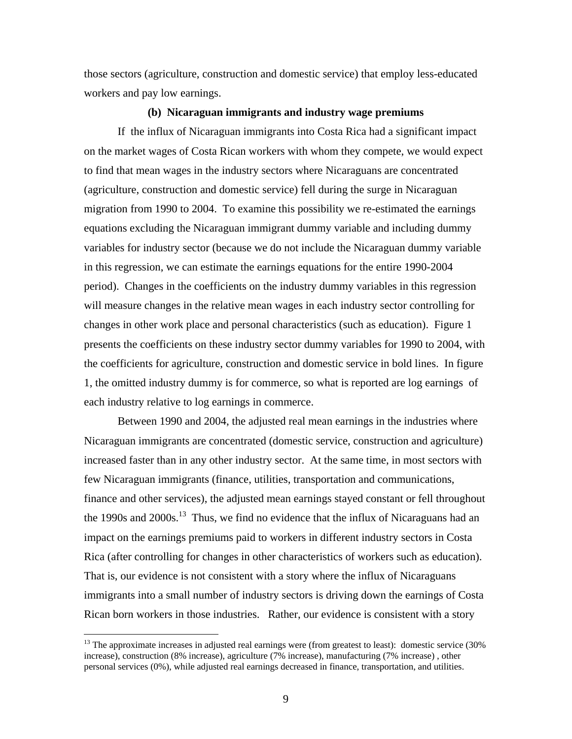those sectors (agriculture, construction and domestic service) that employ less-educated workers and pay low earnings.

#### **(b) Nicaraguan immigrants and industry wage premiums**

If the influx of Nicaraguan immigrants into Costa Rica had a significant impact on the market wages of Costa Rican workers with whom they compete, we would expect to find that mean wages in the industry sectors where Nicaraguans are concentrated (agriculture, construction and domestic service) fell during the surge in Nicaraguan migration from 1990 to 2004. To examine this possibility we re-estimated the earnings equations excluding the Nicaraguan immigrant dummy variable and including dummy variables for industry sector (because we do not include the Nicaraguan dummy variable in this regression, we can estimate the earnings equations for the entire 1990-2004 period). Changes in the coefficients on the industry dummy variables in this regression will measure changes in the relative mean wages in each industry sector controlling for changes in other work place and personal characteristics (such as education). Figure 1 presents the coefficients on these industry sector dummy variables for 1990 to 2004, with the coefficients for agriculture, construction and domestic service in bold lines. In figure 1, the omitted industry dummy is for commerce, so what is reported are log earnings of each industry relative to log earnings in commerce.

Between 1990 and 2004, the adjusted real mean earnings in the industries where Nicaraguan immigrants are concentrated (domestic service, construction and agriculture) increased faster than in any other industry sector. At the same time, in most sectors with few Nicaraguan immigrants (finance, utilities, transportation and communications, finance and other services), the adjusted mean earnings stayed constant or fell throughout the 1990s and  $2000s$ <sup>13</sup>. Thus, we find no evidence that the influx of Nicaraguans had an impact on the earnings premiums paid to workers in different industry sectors in Costa Rica (after controlling for changes in other characteristics of workers such as education). That is, our evidence is not consistent with a story where the influx of Nicaraguans immigrants into a small number of industry sectors is driving down the earnings of Costa Rican born workers in those industries. Rather, our evidence is consistent with a story

<span id="page-10-0"></span><sup>&</sup>lt;sup>13</sup> The approximate increases in adjusted real earnings were (from greatest to least): domestic service (30% increase), construction (8% increase), agriculture (7% increase), manufacturing (7% increase) , other personal services (0%), while adjusted real earnings decreased in finance, transportation, and utilities.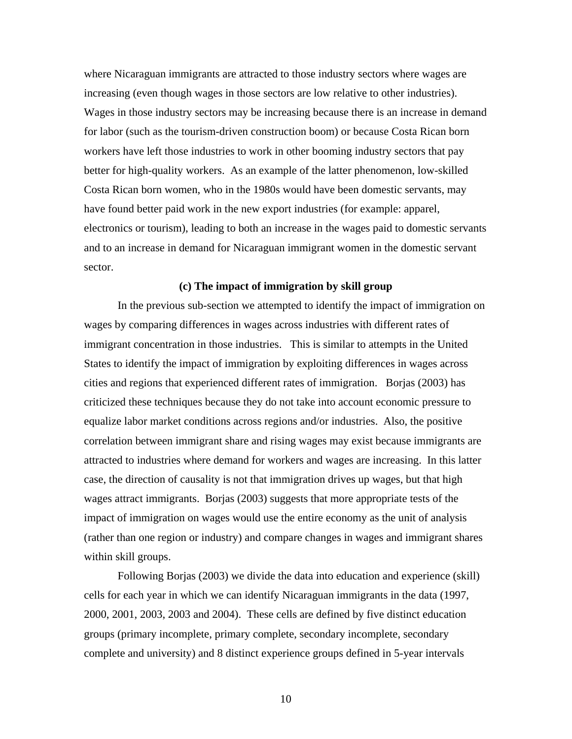where Nicaraguan immigrants are attracted to those industry sectors where wages are increasing (even though wages in those sectors are low relative to other industries). Wages in those industry sectors may be increasing because there is an increase in demand for labor (such as the tourism-driven construction boom) or because Costa Rican born workers have left those industries to work in other booming industry sectors that pay better for high-quality workers. As an example of the latter phenomenon, low-skilled Costa Rican born women, who in the 1980s would have been domestic servants, may have found better paid work in the new export industries (for example: apparel, electronics or tourism), leading to both an increase in the wages paid to domestic servants and to an increase in demand for Nicaraguan immigrant women in the domestic servant sector.

#### **(c) The impact of immigration by skill group**

In the previous sub-section we attempted to identify the impact of immigration on wages by comparing differences in wages across industries with different rates of immigrant concentration in those industries. This is similar to attempts in the United States to identify the impact of immigration by exploiting differences in wages across cities and regions that experienced different rates of immigration. Borjas (2003) has criticized these techniques because they do not take into account economic pressure to equalize labor market conditions across regions and/or industries. Also, the positive correlation between immigrant share and rising wages may exist because immigrants are attracted to industries where demand for workers and wages are increasing. In this latter case, the direction of causality is not that immigration drives up wages, but that high wages attract immigrants. Borjas (2003) suggests that more appropriate tests of the impact of immigration on wages would use the entire economy as the unit of analysis (rather than one region or industry) and compare changes in wages and immigrant shares within skill groups.

Following Borjas (2003) we divide the data into education and experience (skill) cells for each year in which we can identify Nicaraguan immigrants in the data (1997, 2000, 2001, 2003, 2003 and 2004). These cells are defined by five distinct education groups (primary incomplete, primary complete, secondary incomplete, secondary complete and university) and 8 distinct experience groups defined in 5-year intervals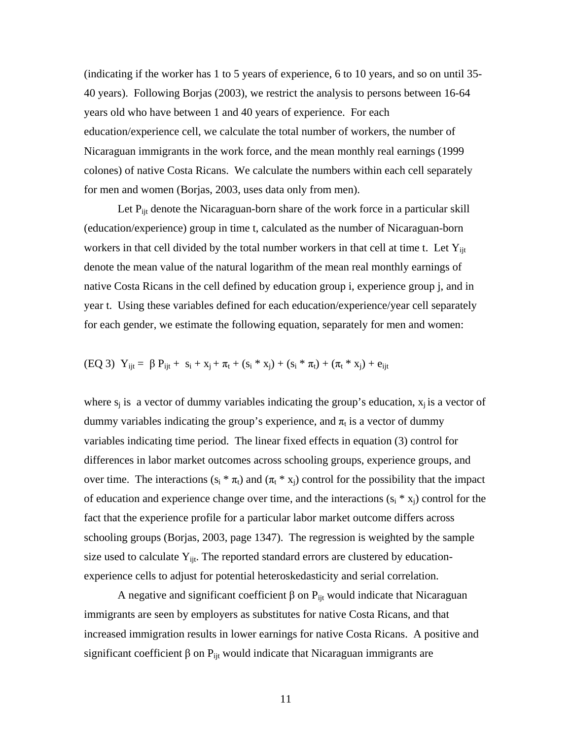(indicating if the worker has 1 to 5 years of experience, 6 to 10 years, and so on until 35- 40 years). Following Borjas (2003), we restrict the analysis to persons between 16-64 years old who have between 1 and 40 years of experience. For each education/experience cell, we calculate the total number of workers, the number of Nicaraguan immigrants in the work force, and the mean monthly real earnings (1999 colones) of native Costa Ricans. We calculate the numbers within each cell separately for men and women (Borjas, 2003, uses data only from men).

Let P<sub>ijt</sub> denote the Nicaraguan-born share of the work force in a particular skill (education/experience) group in time t, calculated as the number of Nicaraguan-born workers in that cell divided by the total number workers in that cell at time t. Let  $Y_{ijt}$ denote the mean value of the natural logarithm of the mean real monthly earnings of native Costa Ricans in the cell defined by education group i, experience group j, and in year t. Using these variables defined for each education/experience/year cell separately for each gender, we estimate the following equation, separately for men and women:

(EQ 3) 
$$
Y_{ijt} = \beta P_{ijt} + s_i + x_j + \pi_t + (s_i * x_j) + (s_i * \pi_t) + (\pi_t * x_j) + e_{ijt}
$$

where  $s_i$  is a vector of dummy variables indicating the group's education,  $x_i$  is a vector of dummy variables indicating the group's experience, and  $\pi_t$  is a vector of dummy variables indicating time period. The linear fixed effects in equation (3) control for differences in labor market outcomes across schooling groups, experience groups, and over time. The interactions  $(s_i * \pi_t)$  and  $(\pi_i * x_i)$  control for the possibility that the impact of education and experience change over time, and the interactions  $(s_i * x_i)$  control for the fact that the experience profile for a particular labor market outcome differs across schooling groups (Borjas, 2003, page 1347). The regression is weighted by the sample size used to calculate  $Y_{\text{ijt}}$ . The reported standard errors are clustered by educationexperience cells to adjust for potential heteroskedasticity and serial correlation.

A negative and significant coefficient  $\beta$  on  $P_{\text{lit}}$  would indicate that Nicaraguan immigrants are seen by employers as substitutes for native Costa Ricans, and that increased immigration results in lower earnings for native Costa Ricans. A positive and significant coefficient  $\beta$  on  $P_{ijt}$  would indicate that Nicaraguan immigrants are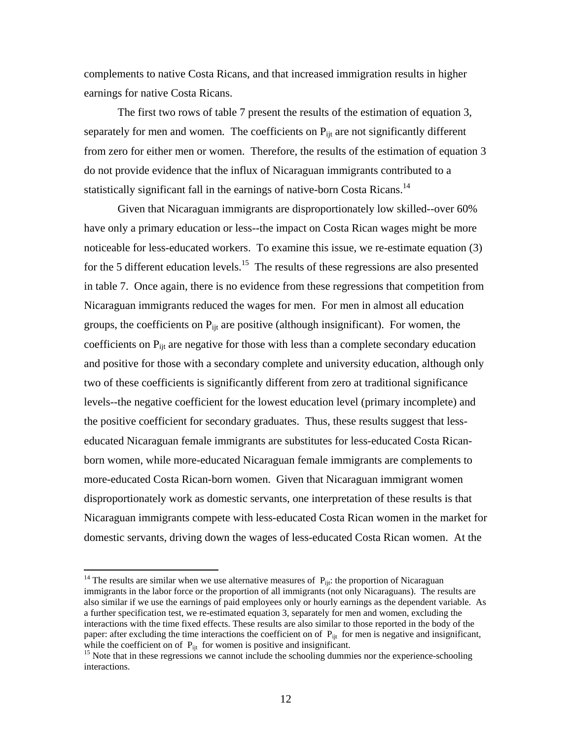complements to native Costa Ricans, and that increased immigration results in higher earnings for native Costa Ricans.

The first two rows of table 7 present the results of the estimation of equation 3, separately for men and women. The coefficients on P<sub>ijt</sub> are not significantly different from zero for either men or women. Therefore, the results of the estimation of equation 3 do not provide evidence that the influx of Nicaraguan immigrants contributed to a statistically significant fall in the earnings of native-born Costa Ricans.<sup>14</sup>

Given that Nicaraguan immigrants are disproportionately low skilled--over 60% have only a primary education or less--the impact on Costa Rican wages might be more noticeable for less-educated workers. To examine this issue, we re-estimate equation (3) for the 5 different education levels.<sup>15</sup> The results of these regressions are also presented in table 7. Once again, there is no evidence from these regressions that competition from Nicaraguan immigrants reduced the wages for men. For men in almost all education groups, the coefficients on  $P_{\text{ijt}}$  are positive (although insignificant). For women, the coefficients on  $P_{\text{lit}}$  are negative for those with less than a complete secondary education and positive for those with a secondary complete and university education, although only two of these coefficients is significantly different from zero at traditional significance levels--the negative coefficient for the lowest education level (primary incomplete) and the positive coefficient for secondary graduates. Thus, these results suggest that lesseducated Nicaraguan female immigrants are substitutes for less-educated Costa Ricanborn women, while more-educated Nicaraguan female immigrants are complements to more-educated Costa Rican-born women. Given that Nicaraguan immigrant women disproportionately work as domestic servants, one interpretation of these results is that Nicaraguan immigrants compete with less-educated Costa Rican women in the market for domestic servants, driving down the wages of less-educated Costa Rican women. At the

 $\overline{a}$ 

<span id="page-13-0"></span><sup>&</sup>lt;sup>14</sup> The results are similar when we use alternative measures of  $P_{ijt}$ : the proportion of Nicaraguan immigrants in the labor force or the proportion of all immigrants (not only Nicaraguans). The results are also similar if we use the earnings of paid employees only or hourly earnings as the dependent variable. As a further specification test, we re-estimated equation 3, separately for men and women, excluding the interactions with the time fixed effects. These results are also similar to those reported in the body of the paper: after excluding the time interactions the coefficient on of  $P_{ijt}$  for men is negative and insignificant, while the coefficient on of  $P_{ijt}$  for women is positive and insignificant.

<span id="page-13-1"></span> $15$  Note that in these regressions we cannot include the schooling dummies nor the experience-schooling interactions.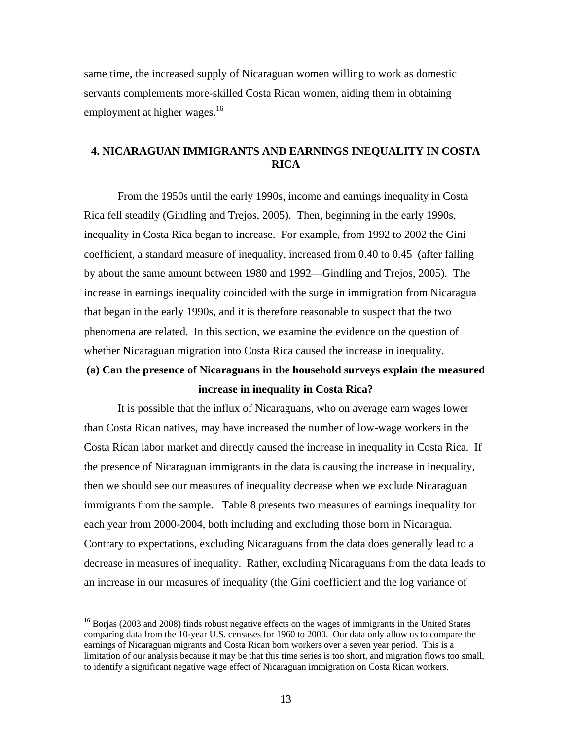same time, the increased supply of Nicaraguan women willing to work as domestic servants complements more-skilled Costa Rican women, aiding them in obtaining employment at higher wages.<sup>16</sup>

### **4. NICARAGUAN IMMIGRANTS AND EARNINGS INEQUALITY IN COSTA RICA**

 From the 1950s until the early 1990s, income and earnings inequality in Costa Rica fell steadily (Gindling and Trejos, 2005). Then, beginning in the early 1990s, inequality in Costa Rica began to increase. For example, from 1992 to 2002 the Gini coefficient, a standard measure of inequality, increased from 0.40 to 0.45 (after falling by about the same amount between 1980 and 1992—Gindling and Trejos, 2005). The increase in earnings inequality coincided with the surge in immigration from Nicaragua that began in the early 1990s, and it is therefore reasonable to suspect that the two phenomena are related. In this section, we examine the evidence on the question of whether Nicaraguan migration into Costa Rica caused the increase in inequality.

# **(a) Can the presence of Nicaraguans in the household surveys explain the measured increase in inequality in Costa Rica?**

It is possible that the influx of Nicaraguans, who on average earn wages lower than Costa Rican natives, may have increased the number of low-wage workers in the Costa Rican labor market and directly caused the increase in inequality in Costa Rica. If the presence of Nicaraguan immigrants in the data is causing the increase in inequality, then we should see our measures of inequality decrease when we exclude Nicaraguan immigrants from the sample. Table 8 presents two measures of earnings inequality for each year from 2000-2004, both including and excluding those born in Nicaragua. Contrary to expectations, excluding Nicaraguans from the data does generally lead to a decrease in measures of inequality. Rather, excluding Nicaraguans from the data leads to an increase in our measures of inequality (the Gini coefficient and the log variance of

 $\overline{a}$ 

<span id="page-14-0"></span><sup>&</sup>lt;sup>16</sup> Borjas (2003 and 2008) finds robust negative effects on the wages of immigrants in the United States comparing data from the 10-year U.S. censuses for 1960 to 2000. Our data only allow us to compare the earnings of Nicaraguan migrants and Costa Rican born workers over a seven year period. This is a limitation of our analysis because it may be that this time series is too short, and migration flows too small, to identify a significant negative wage effect of Nicaraguan immigration on Costa Rican workers.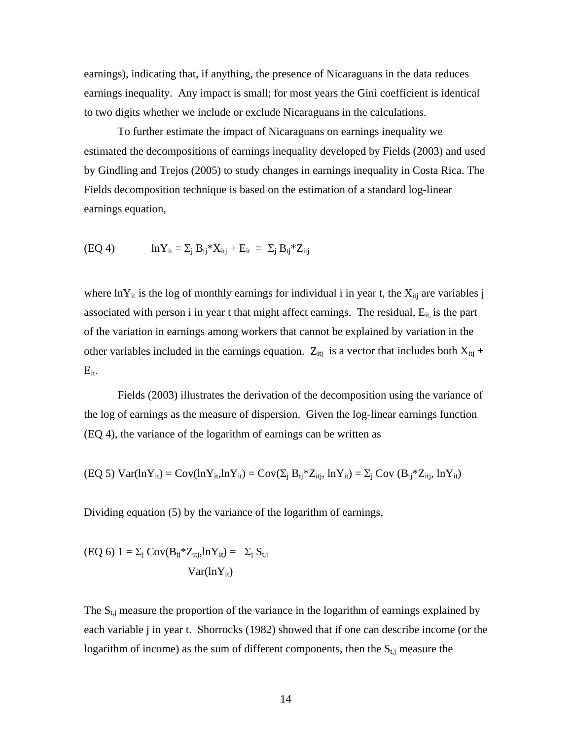earnings), indicating that, if anything, the presence of Nicaraguans in the data reduces earnings inequality. Any impact is small; for most years the Gini coefficient is identical to two digits whether we include or exclude Nicaraguans in the calculations.

To further estimate the impact of Nicaraguans on earnings inequality we estimated the decompositions of earnings inequality developed by Fields (2003) and used by Gindling and Trejos (2005) to study changes in earnings inequality in Costa Rica. The Fields decomposition technique is based on the estimation of a standard log-linear earnings equation,

$$
(EQ 4) \qquad \qquad \ln Y_{it} = \Sigma_i B_{tj}^* X_{itj} + E_{it} = \Sigma_j B_{tj}^* Z_{itj}
$$

where  $\ln Y_{it}$  is the log of monthly earnings for individual i in year t, the  $X_{itj}$  are variables j associated with person i in year t that might affect earnings. The residual,  $E_{it}$  is the part of the variation in earnings among workers that cannot be explained by variation in the other variables included in the earnings equation.  $Z_{itj}$  is a vector that includes both  $X_{itj}$  + Eit.

Fields (2003) illustrates the derivation of the decomposition using the variance of the log of earnings as the measure of dispersion. Given the log-linear earnings function (EQ 4), the variance of the logarithm of earnings can be written as

$$
(EQ 5) Var(lnY_{it}) = Cov(lnY_{it}, lnY_{it}) = Cov(\Sigma_j B_{tj} * Z_{itj}, lnY_{it}) = \Sigma_j Cov(B_{tj} * Z_{itj}, lnY_{it})
$$

Dividing equation (5) by the variance of the logarithm of earnings,

$$
(EQ 6) 1 = \underline{\Sigma_i Cov(B_{tj} * Z_{itj,l} n Y_{it})} = \Sigma_j S_{t,j}
$$

$$
Var(ln Y_{it})
$$

The  $S_{t,i}$  measure the proportion of the variance in the logarithm of earnings explained by each variable j in year t. Shorrocks (1982) showed that if one can describe income (or the logarithm of income) as the sum of different components, then the  $S_{t,i}$  measure the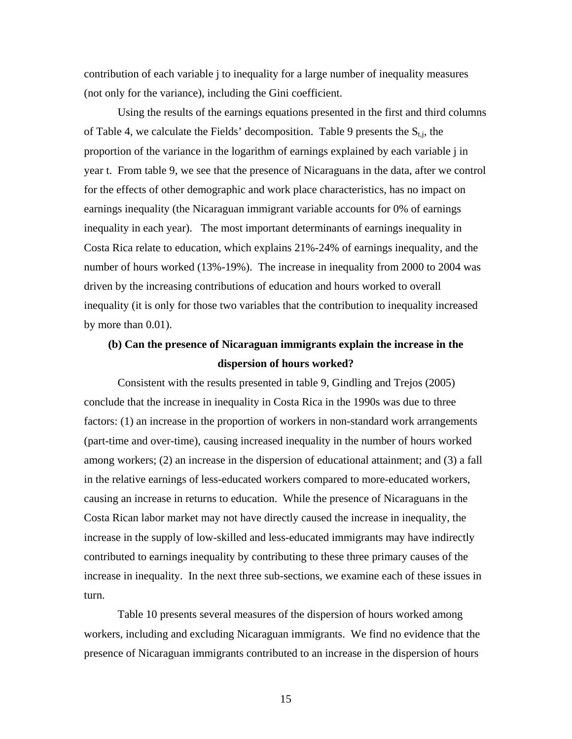contribution of each variable j to inequality for a large number of inequality measures (not only for the variance), including the Gini coefficient.

Using the results of the earnings equations presented in the first and third columns of Table 4, we calculate the Fields' decomposition. Table 9 presents the  $S_{t,i}$ , the proportion of the variance in the logarithm of earnings explained by each variable j in year t. From table 9, we see that the presence of Nicaraguans in the data, after we control for the effects of other demographic and work place characteristics, has no impact on earnings inequality (the Nicaraguan immigrant variable accounts for 0% of earnings inequality in each year). The most important determinants of earnings inequality in Costa Rica relate to education, which explains 21%-24% of earnings inequality, and the number of hours worked (13%-19%). The increase in inequality from 2000 to 2004 was driven by the increasing contributions of education and hours worked to overall inequality (it is only for those two variables that the contribution to inequality increased by more than 0.01).

# **(b) Can the presence of Nicaraguan immigrants explain the increase in the dispersion of hours worked?**

Consistent with the results presented in table 9, Gindling and Trejos (2005) conclude that the increase in inequality in Costa Rica in the 1990s was due to three factors: (1) an increase in the proportion of workers in non-standard work arrangements (part-time and over-time), causing increased inequality in the number of hours worked among workers; (2) an increase in the dispersion of educational attainment; and (3) a fall in the relative earnings of less-educated workers compared to more-educated workers, causing an increase in returns to education. While the presence of Nicaraguans in the Costa Rican labor market may not have directly caused the increase in inequality, the increase in the supply of low-skilled and less-educated immigrants may have indirectly contributed to earnings inequality by contributing to these three primary causes of the increase in inequality. In the next three sub-sections, we examine each of these issues in turn.

Table 10 presents several measures of the dispersion of hours worked among workers, including and excluding Nicaraguan immigrants. We find no evidence that the presence of Nicaraguan immigrants contributed to an increase in the dispersion of hours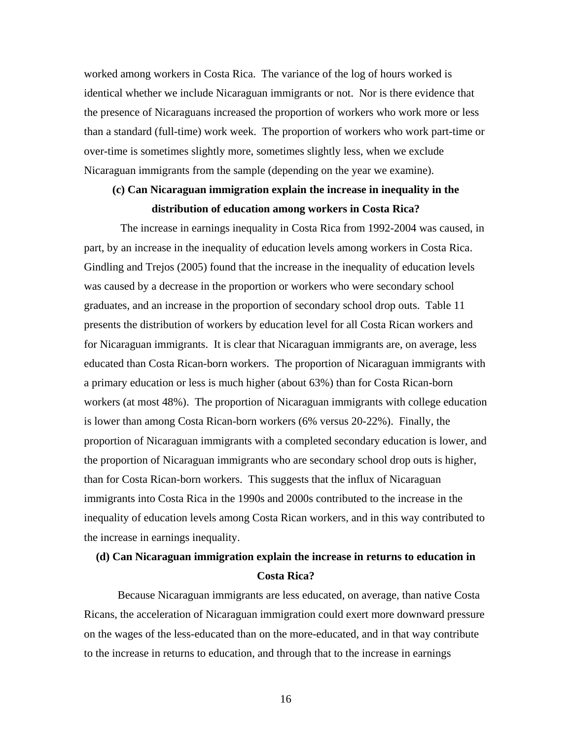worked among workers in Costa Rica. The variance of the log of hours worked is identical whether we include Nicaraguan immigrants or not. Nor is there evidence that the presence of Nicaraguans increased the proportion of workers who work more or less than a standard (full-time) work week. The proportion of workers who work part-time or over-time is sometimes slightly more, sometimes slightly less, when we exclude Nicaraguan immigrants from the sample (depending on the year we examine).

# **(c) Can Nicaraguan immigration explain the increase in inequality in the distribution of education among workers in Costa Rica?**

 The increase in earnings inequality in Costa Rica from 1992-2004 was caused, in part, by an increase in the inequality of education levels among workers in Costa Rica. Gindling and Trejos (2005) found that the increase in the inequality of education levels was caused by a decrease in the proportion or workers who were secondary school graduates, and an increase in the proportion of secondary school drop outs. Table 11 presents the distribution of workers by education level for all Costa Rican workers and for Nicaraguan immigrants. It is clear that Nicaraguan immigrants are, on average, less educated than Costa Rican-born workers. The proportion of Nicaraguan immigrants with a primary education or less is much higher (about 63%) than for Costa Rican-born workers (at most 48%). The proportion of Nicaraguan immigrants with college education is lower than among Costa Rican-born workers (6% versus 20-22%). Finally, the proportion of Nicaraguan immigrants with a completed secondary education is lower, and the proportion of Nicaraguan immigrants who are secondary school drop outs is higher, than for Costa Rican-born workers. This suggests that the influx of Nicaraguan immigrants into Costa Rica in the 1990s and 2000s contributed to the increase in the inequality of education levels among Costa Rican workers, and in this way contributed to the increase in earnings inequality.

# **(d) Can Nicaraguan immigration explain the increase in returns to education in Costa Rica?**

Because Nicaraguan immigrants are less educated, on average, than native Costa Ricans, the acceleration of Nicaraguan immigration could exert more downward pressure on the wages of the less-educated than on the more-educated, and in that way contribute to the increase in returns to education, and through that to the increase in earnings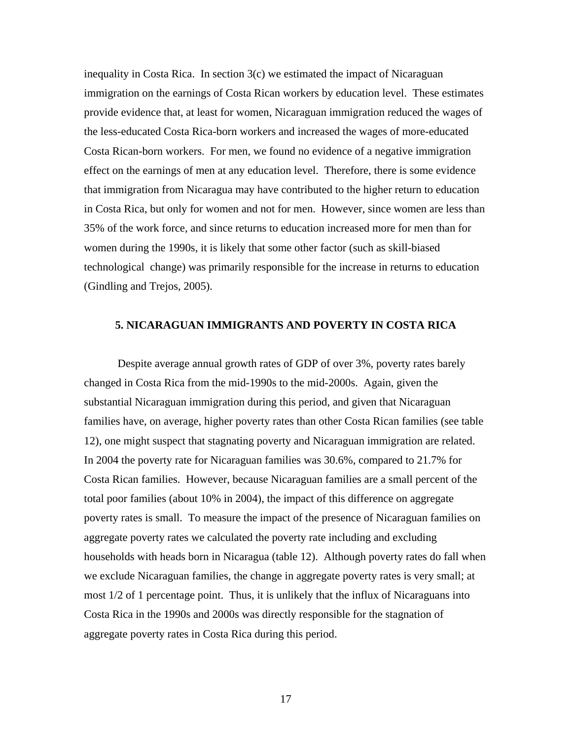inequality in Costa Rica. In section  $3(c)$  we estimated the impact of Nicaraguan immigration on the earnings of Costa Rican workers by education level. These estimates provide evidence that, at least for women, Nicaraguan immigration reduced the wages of the less-educated Costa Rica-born workers and increased the wages of more-educated Costa Rican-born workers. For men, we found no evidence of a negative immigration effect on the earnings of men at any education level. Therefore, there is some evidence that immigration from Nicaragua may have contributed to the higher return to education in Costa Rica, but only for women and not for men. However, since women are less than 35% of the work force, and since returns to education increased more for men than for women during the 1990s, it is likely that some other factor (such as skill-biased technological change) was primarily responsible for the increase in returns to education (Gindling and Trejos, 2005).

#### **5. NICARAGUAN IMMIGRANTS AND POVERTY IN COSTA RICA**

Despite average annual growth rates of GDP of over 3%, poverty rates barely changed in Costa Rica from the mid-1990s to the mid-2000s. Again, given the substantial Nicaraguan immigration during this period, and given that Nicaraguan families have, on average, higher poverty rates than other Costa Rican families (see table 12), one might suspect that stagnating poverty and Nicaraguan immigration are related. In 2004 the poverty rate for Nicaraguan families was 30.6%, compared to 21.7% for Costa Rican families. However, because Nicaraguan families are a small percent of the total poor families (about 10% in 2004), the impact of this difference on aggregate poverty rates is small. To measure the impact of the presence of Nicaraguan families on aggregate poverty rates we calculated the poverty rate including and excluding households with heads born in Nicaragua (table 12). Although poverty rates do fall when we exclude Nicaraguan families, the change in aggregate poverty rates is very small; at most 1/2 of 1 percentage point. Thus, it is unlikely that the influx of Nicaraguans into Costa Rica in the 1990s and 2000s was directly responsible for the stagnation of aggregate poverty rates in Costa Rica during this period.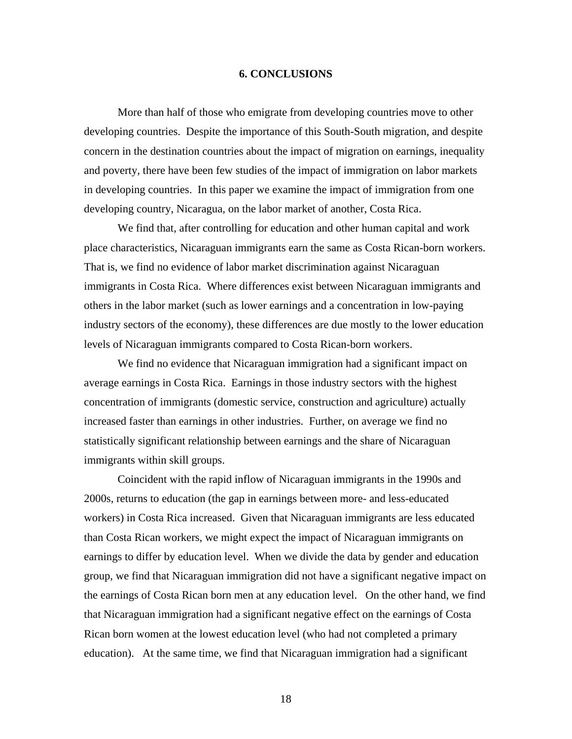#### **6. CONCLUSIONS**

More than half of those who emigrate from developing countries move to other developing countries. Despite the importance of this South-South migration, and despite concern in the destination countries about the impact of migration on earnings, inequality and poverty, there have been few studies of the impact of immigration on labor markets in developing countries. In this paper we examine the impact of immigration from one developing country, Nicaragua, on the labor market of another, Costa Rica.

We find that, after controlling for education and other human capital and work place characteristics, Nicaraguan immigrants earn the same as Costa Rican-born workers. That is, we find no evidence of labor market discrimination against Nicaraguan immigrants in Costa Rica. Where differences exist between Nicaraguan immigrants and others in the labor market (such as lower earnings and a concentration in low-paying industry sectors of the economy), these differences are due mostly to the lower education levels of Nicaraguan immigrants compared to Costa Rican-born workers.

We find no evidence that Nicaraguan immigration had a significant impact on average earnings in Costa Rica. Earnings in those industry sectors with the highest concentration of immigrants (domestic service, construction and agriculture) actually increased faster than earnings in other industries. Further, on average we find no statistically significant relationship between earnings and the share of Nicaraguan immigrants within skill groups.

Coincident with the rapid inflow of Nicaraguan immigrants in the 1990s and 2000s, returns to education (the gap in earnings between more- and less-educated workers) in Costa Rica increased. Given that Nicaraguan immigrants are less educated than Costa Rican workers, we might expect the impact of Nicaraguan immigrants on earnings to differ by education level. When we divide the data by gender and education group, we find that Nicaraguan immigration did not have a significant negative impact on the earnings of Costa Rican born men at any education level. On the other hand, we find that Nicaraguan immigration had a significant negative effect on the earnings of Costa Rican born women at the lowest education level (who had not completed a primary education). At the same time, we find that Nicaraguan immigration had a significant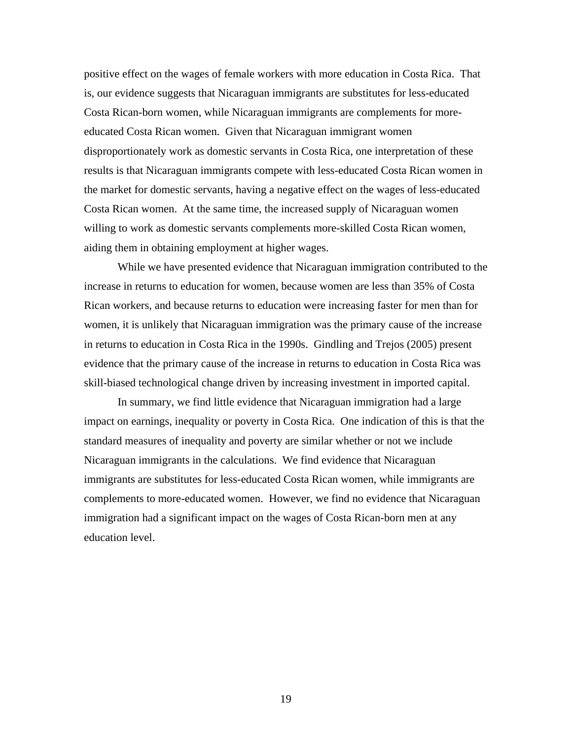positive effect on the wages of female workers with more education in Costa Rica. That is, our evidence suggests that Nicaraguan immigrants are substitutes for less-educated Costa Rican-born women, while Nicaraguan immigrants are complements for moreeducated Costa Rican women. Given that Nicaraguan immigrant women disproportionately work as domestic servants in Costa Rica, one interpretation of these results is that Nicaraguan immigrants compete with less-educated Costa Rican women in the market for domestic servants, having a negative effect on the wages of less-educated Costa Rican women. At the same time, the increased supply of Nicaraguan women willing to work as domestic servants complements more-skilled Costa Rican women, aiding them in obtaining employment at higher wages.

While we have presented evidence that Nicaraguan immigration contributed to the increase in returns to education for women, because women are less than 35% of Costa Rican workers, and because returns to education were increasing faster for men than for women, it is unlikely that Nicaraguan immigration was the primary cause of the increase in returns to education in Costa Rica in the 1990s. Gindling and Trejos (2005) present evidence that the primary cause of the increase in returns to education in Costa Rica was skill-biased technological change driven by increasing investment in imported capital.

In summary, we find little evidence that Nicaraguan immigration had a large impact on earnings, inequality or poverty in Costa Rica. One indication of this is that the standard measures of inequality and poverty are similar whether or not we include Nicaraguan immigrants in the calculations. We find evidence that Nicaraguan immigrants are substitutes for less-educated Costa Rican women, while immigrants are complements to more-educated women. However, we find no evidence that Nicaraguan immigration had a significant impact on the wages of Costa Rican-born men at any education level.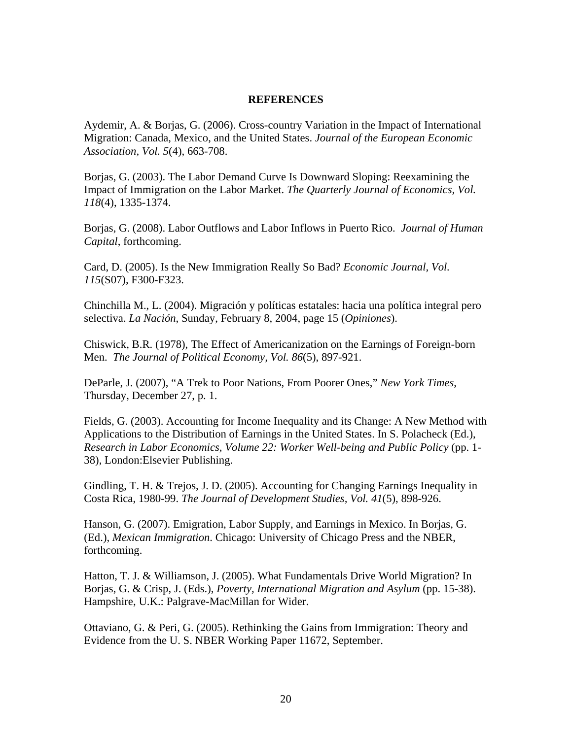#### **REFERENCES**

Aydemir, A. & Borjas, G. (2006). Cross-country Variation in the Impact of International Migration: Canada, Mexico, and the United States. *Journal of the European Economic Association, Vol. 5*(4), 663-708.

Borjas, G. (2003). The Labor Demand Curve Is Downward Sloping: Reexamining the Impact of Immigration on the Labor Market. *The Quarterly Journal of Economics, Vol. 118*(4), 1335-1374.

Borjas, G. (2008). Labor Outflows and Labor Inflows in Puerto Rico. *Journal of Human Capital*, forthcoming.

Card, D. (2005). Is the New Immigration Really So Bad? *Economic Journal, Vol. 115*(S07), F300-F323.

Chinchilla M., L. (2004). Migración y políticas estatales: hacia una política integral pero selectiva. *La Nación*, Sunday, February 8, 2004, page 15 (*Opiniones*).

Chiswick, B.R. (1978), The Effect of Americanization on the Earnings of Foreign-born Men. *The Journal of Political Economy, Vol. 86*(5), 897-921.

DeParle, J. (2007), "A Trek to Poor Nations, From Poorer Ones," *New York Times*, Thursday, December 27, p. 1.

Fields, G. (2003). Accounting for Income Inequality and its Change: A New Method with Applications to the Distribution of Earnings in the United States. In S. Polacheck (Ed.), *Research in Labor Economics, Volume 22: Worker Well-being and Public Policy* (pp. 1- 38), London:Elsevier Publishing.

Gindling, T. H. & Trejos, J. D. (2005). Accounting for Changing Earnings Inequality in Costa Rica, 1980-99. *The Journal of Development Studies, Vol. 41*(5), 898-926.

Hanson, G. (2007). Emigration, Labor Supply, and Earnings in Mexico. In Borjas, G. (Ed.), *Mexican Immigration*. Chicago: University of Chicago Press and the NBER, forthcoming.

Hatton, T. J. & Williamson, J. (2005). What Fundamentals Drive World Migration? In Borjas, G. & Crisp, J. (Eds.), *Poverty, International Migration and Asylum* (pp. 15-38). Hampshire, U.K.: Palgrave-MacMillan for Wider.

Ottaviano, G. & Peri, G. (2005). Rethinking the Gains from Immigration: Theory and Evidence from the U. S. NBER Working Paper 11672, September.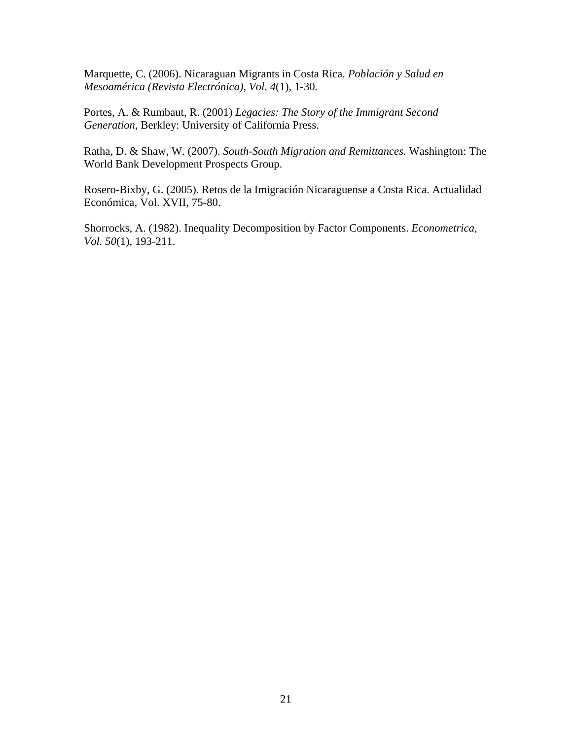Marquette, C. (2006). Nicaraguan Migrants in Costa Rica. *Población y Salud en Mesoamérica (Revista Electrónica), Vol. 4*(1), 1-30.

Portes, A. & Rumbaut, R. (2001) *Legacies: The Story of the Immigrant Second Generation*, Berkley: University of California Press.

Ratha, D. & Shaw, W. (2007). *South-South Migration and Remittances.* Washington: The World Bank Development Prospects Group.

Rosero-Bixby, G. (2005). Retos de la Imigración Nicaraguense a Costa Rica. Actualidad Económica, Vol. XVII, 75-80.

Shorrocks, A. (1982). Inequality Decomposition by Factor Components. *Econometrica, Vol. 50*(1), 193-211.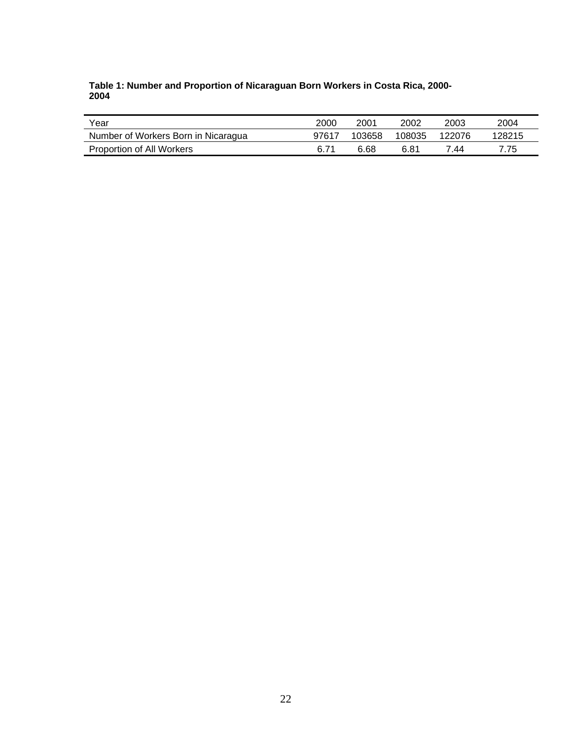#### **Table 1: Number and Proportion of Nicaraguan Born Workers in Costa Rica, 2000- 2004**

| Year                                | 2000  | 2001   | 2002   | 2003   | 2004   |
|-------------------------------------|-------|--------|--------|--------|--------|
| Number of Workers Born in Nicaragua | 97617 | 103658 | 108035 | 122076 | 128215 |
| Proportion of All Workers           | 6.71  | 6.68   | 6.81   | 7.44   | 7.75   |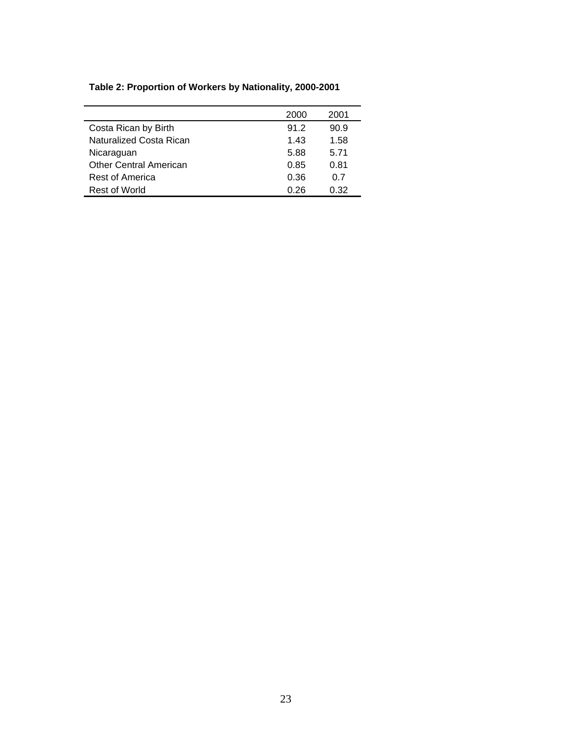|                               | 2000 | 2001 |
|-------------------------------|------|------|
| Costa Rican by Birth          | 91.2 | 90.9 |
| Naturalized Costa Rican       | 1.43 | 1.58 |
| Nicaraguan                    | 5.88 | 5.71 |
| <b>Other Central American</b> | 0.85 | 0.81 |
| <b>Rest of America</b>        | 0.36 | 0 7  |
| <b>Rest of World</b>          | 0.26 | 0.32 |

# **Table 2: Proportion of Workers by Nationality, 2000-2001**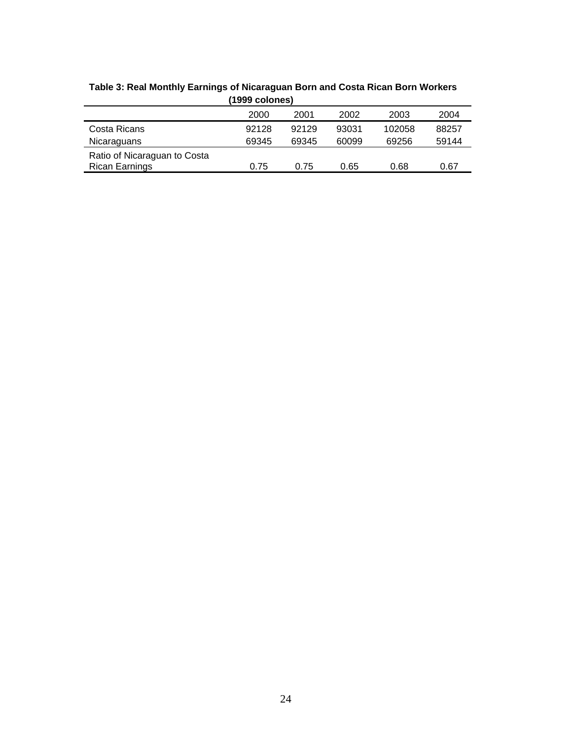| 1999 COIONES)                                         |       |       |       |        |       |
|-------------------------------------------------------|-------|-------|-------|--------|-------|
|                                                       | 2000  | 2001  | 2002  | 2003   | 2004  |
| Costa Ricans                                          | 92128 | 92129 | 93031 | 102058 | 88257 |
| <b>Nicaraguans</b>                                    | 69345 | 69345 | 60099 | 69256  | 59144 |
| Ratio of Nicaraguan to Costa<br><b>Rican Earnings</b> | 0.75  | 0.75  | 0.65  | 0.68   | 0.67  |

**Table 3: Real Monthly Earnings of Nicaraguan Born and Costa Rican Born Workers (1999 colones)**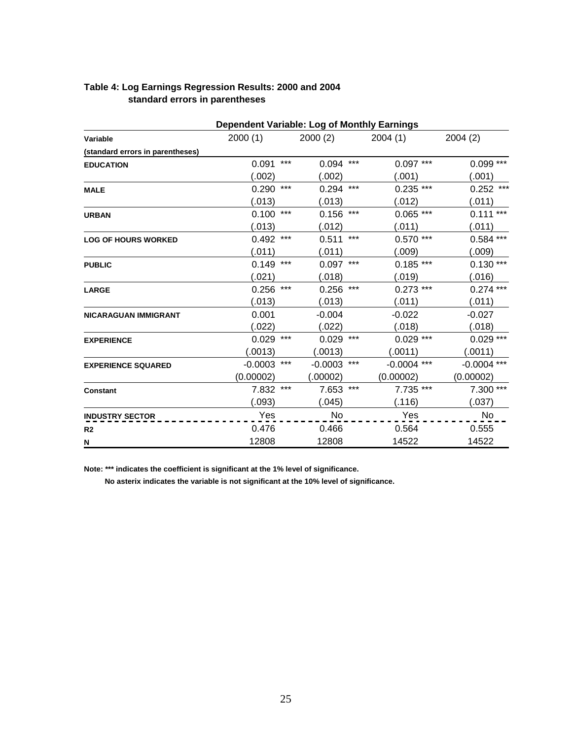| Table 4: Log Earnings Regression Results: 2000 and 2004 |
|---------------------------------------------------------|
| standard errors in parentheses                          |

|                                  | Dependent Variable: Log of Monthly Earnings |                    |               |               |  |
|----------------------------------|---------------------------------------------|--------------------|---------------|---------------|--|
| Variable                         | 2000(1)                                     | 2000(2)            | 2004(1)       | 2004(2)       |  |
| (standard errors in parentheses) |                                             |                    |               |               |  |
| <b>EDUCATION</b>                 | ***<br>0.091                                | ***<br>0.094       | $0.097***$    | $0.099***$    |  |
|                                  | (.002)                                      | (.002)             | (.001)        | (.001)        |  |
| <b>MALE</b>                      | ***<br>0.290                                | $***$<br>0.294     | $0.235***$    | $0.252$ ***   |  |
|                                  | (.013)                                      | (.013)             | (.012)        | (.011)        |  |
| <b>URBAN</b>                     | ***<br>0.100                                | $***$<br>0.156     | $0.065$ ***   | $0.111***$    |  |
|                                  | (.013)                                      | (.012)             | (.011)        | (.011)        |  |
| <b>LOG OF HOURS WORKED</b>       | ***<br>0.492                                | ***<br>0.511       | $0.570$ ***   | $0.584***$    |  |
|                                  | (.011)                                      | (.011)             | (.009)        | (.009)        |  |
| <b>PUBLIC</b>                    | ***<br>0.149                                | $0.097$ ***        | $0.185***$    | $0.130***$    |  |
|                                  | (.021)                                      | (.018)             | (.019)        | (.016)        |  |
| <b>LARGE</b>                     | $***$<br>0.256                              | ***<br>0.256       | $0.273$ ***   | $0.274$ ***   |  |
|                                  | (.013)                                      | (.013)             | (.011)        | (.011)        |  |
| <b>NICARAGUAN IMMIGRANT</b>      | 0.001                                       | $-0.004$           | $-0.022$      | $-0.027$      |  |
|                                  | (.022)                                      | (.022)             | (.018)        | (.018)        |  |
| <b>EXPERIENCE</b>                | ***<br>0.029                                | ***<br>0.029       | $0.029$ ***   | $0.029***$    |  |
|                                  | (.0013)                                     | (.0013)            | (.0011)       | (.0011)       |  |
| <b>EXPERIENCE SQUARED</b>        | $***$<br>$-0.0003$                          | $***$<br>$-0.0003$ | $-0.0004$ *** | $-0.0004$ *** |  |
|                                  | (0.00002)                                   | (.00002)           | (0.00002)     | (0.00002)     |  |
| <b>Constant</b>                  | $***$<br>7.832                              | ***<br>7.653       | 7.735 ***     | 7.300 ***     |  |
|                                  | (.093)                                      | (.045)             | (.116)        | (.037)        |  |
| <b>INDUSTRY SECTOR</b>           | Yes                                         | No                 | Yes           | No            |  |
| R <sub>2</sub>                   | 0.476                                       | 0.466              | 0.564         | 0.555         |  |
| N                                | 12808                                       | 12808              | 14522         | 14522         |  |

**Note: \*\*\* indicates the coefficient is significant at the 1% level of significance.**

 **No asterix indicates the variable is not significant at the 10% level of significance.**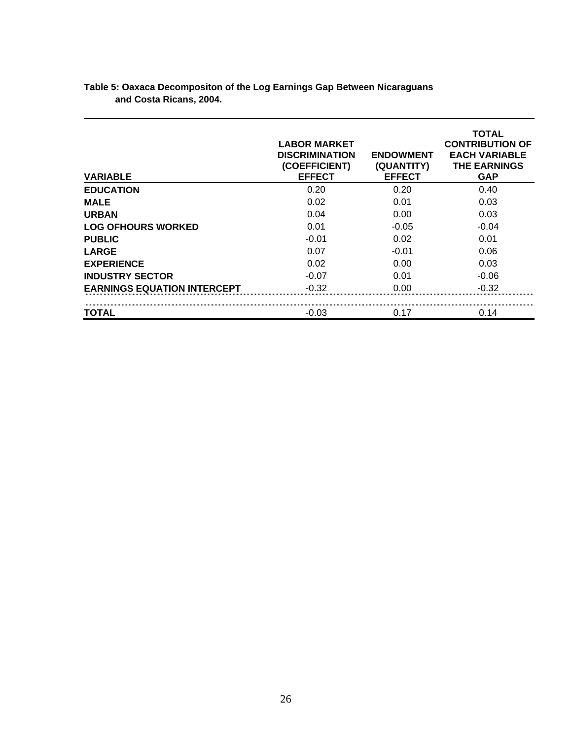| <b>VARIABLE</b>                    | <b>LABOR MARKET</b><br><b>DISCRIMINATION</b><br>(COEFFICIENT)<br><b>EFFECT</b> | <b>ENDOWMENT</b><br>(QUANTITY)<br><b>EFFECT</b> | <b>TOTAL</b><br><b>CONTRIBUTION OF</b><br><b>EACH VARIABLE</b><br><b>THE EARNINGS</b><br><b>GAP</b> |
|------------------------------------|--------------------------------------------------------------------------------|-------------------------------------------------|-----------------------------------------------------------------------------------------------------|
| <b>EDUCATION</b>                   | 0.20                                                                           | 0.20                                            | 0.40                                                                                                |
| <b>MALE</b>                        | 0.02                                                                           | 0.01                                            | 0.03                                                                                                |
| <b>URBAN</b>                       | 0.04                                                                           | 0.00                                            | 0.03                                                                                                |
| <b>LOG OFHOURS WORKED</b>          | 0.01                                                                           | $-0.05$                                         | $-0.04$                                                                                             |
| <b>PUBLIC</b>                      | $-0.01$                                                                        | 0.02                                            | 0.01                                                                                                |
| <b>LARGE</b>                       | 0.07                                                                           | $-0.01$                                         | 0.06                                                                                                |
| <b>EXPERIENCE</b>                  | 0.02                                                                           | 0.00                                            | 0.03                                                                                                |
| <b>INDUSTRY SECTOR</b>             | $-0.07$                                                                        | 0.01                                            | $-0.06$                                                                                             |
| <b>EARNINGS EQUATION INTERCEPT</b> | $-0.32$                                                                        | 0.00                                            | $-0.32$                                                                                             |
| <b>TOTAL</b>                       | $-0.03$                                                                        | 0.17                                            | 0.14                                                                                                |

### **Table 5: Oaxaca Decompositon of the Log Earnings Gap Between Nicaraguans and Costa Ricans, 2004.**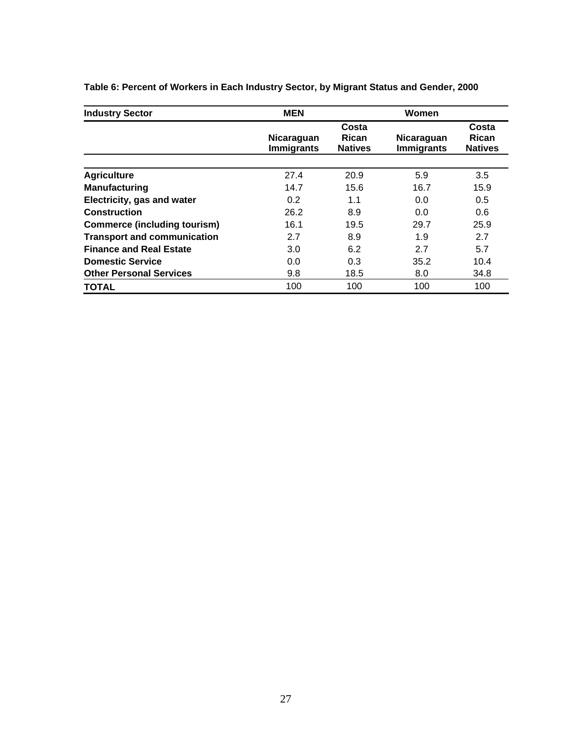| <b>Industry Sector</b>              | <b>MEN</b>                      |                                         | Women                           |                                  |
|-------------------------------------|---------------------------------|-----------------------------------------|---------------------------------|----------------------------------|
|                                     | Nicaraguan<br><b>Immigrants</b> | Costa<br><b>Rican</b><br><b>Natives</b> | Nicaraguan<br><b>Immigrants</b> | Costa<br>Rican<br><b>Natives</b> |
|                                     |                                 |                                         |                                 |                                  |
| <b>Agriculture</b>                  | 27.4                            | 20.9                                    | 5.9                             | 3.5                              |
| <b>Manufacturing</b>                | 14.7                            | 15.6                                    | 16.7                            | 15.9                             |
| Electricity, gas and water          | 0.2                             | 1.1                                     | 0.0                             | 0.5                              |
| <b>Construction</b>                 | 26.2                            | 8.9                                     | 0.0                             | 0.6                              |
| <b>Commerce (including tourism)</b> | 16.1                            | 19.5                                    | 29.7                            | 25.9                             |
| <b>Transport and communication</b>  | 2.7                             | 8.9                                     | 1.9                             | 2.7                              |
| <b>Finance and Real Estate</b>      | 3.0                             | 6.2                                     | 2.7                             | 5.7                              |
| <b>Domestic Service</b>             | 0.0                             | 0.3                                     | 35.2                            | 10.4                             |
| <b>Other Personal Services</b>      | 9.8                             | 18.5                                    | 8.0                             | 34.8                             |
| <b>TOTAL</b>                        | 100                             | 100                                     | 100                             | 100                              |

**Table 6: Percent of Workers in Each Industry Sector, by Migrant Status and Gender, 2000**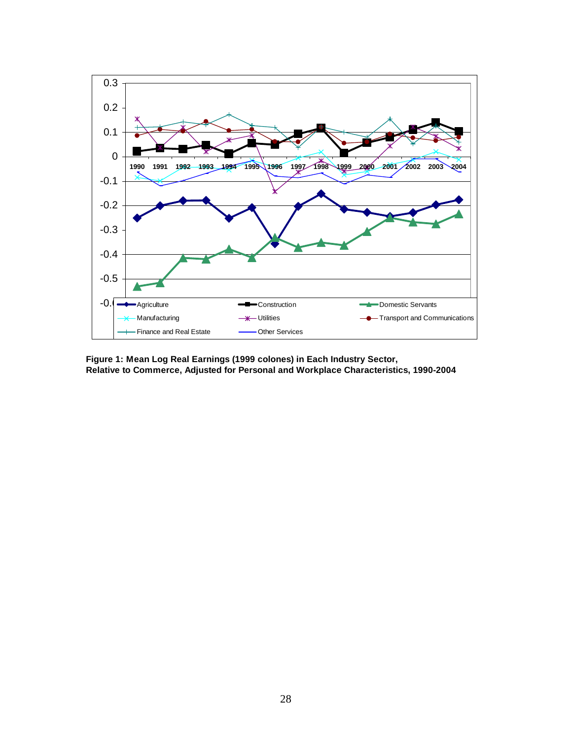

**Figure 1: Mean Log Real Earnings (1999 colones) in Each Industry Sector, Relative to Commerce, Adjusted for Personal and Workplace Characteristics, 1990-2004**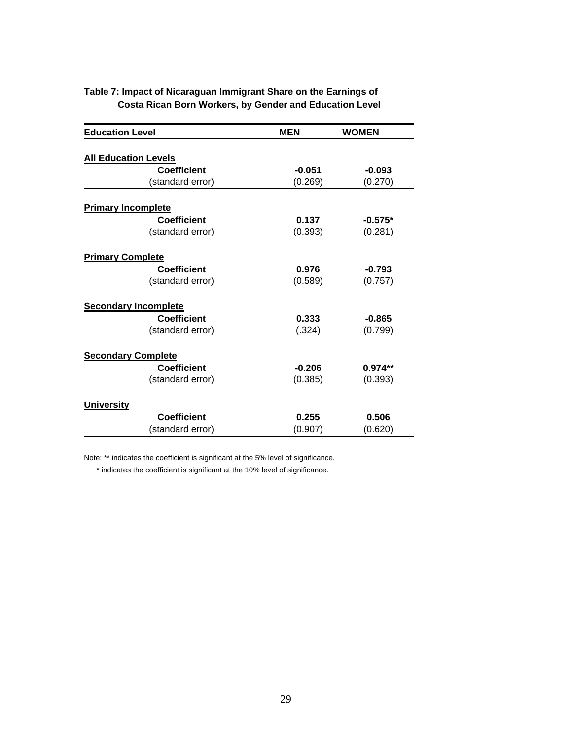| <b>Education Level</b>      | <b>MEN</b> | <b>WOMEN</b> |
|-----------------------------|------------|--------------|
|                             |            |              |
| <b>All Education Levels</b> |            |              |
| <b>Coefficient</b>          | $-0.051$   | $-0.093$     |
| (standard error)            | (0.269)    | (0.270)      |
| <b>Primary Incomplete</b>   |            |              |
| <b>Coefficient</b>          | 0.137      | $-0.575*$    |
| (standard error)            | (0.393)    | (0.281)      |
| <b>Primary Complete</b>     |            |              |
| <b>Coefficient</b>          | 0.976      | $-0.793$     |
| (standard error)            | (0.589)    | (0.757)      |
| <b>Secondary Incomplete</b> |            |              |
| <b>Coefficient</b>          | 0.333      | $-0.865$     |
| (standard error)            | (.324)     | (0.799)      |
| <b>Secondary Complete</b>   |            |              |
| <b>Coefficient</b>          | $-0.206$   | $0.974**$    |
| (standard error)            | (0.385)    | (0.393)      |
| <b>University</b>           |            |              |
| <b>Coefficient</b>          | 0.255      | 0.506        |
| (standard error)            | (0.907)    | (0.620)      |

### **Table 7: Impact of Nicaraguan Immigrant Share on the Earnings of Costa Rican Born Workers, by Gender and Education Level**

Note: \*\* indicates the coefficient is significant at the 5% level of significance.

\* indicates the coefficient is significant at the 10% level of significance.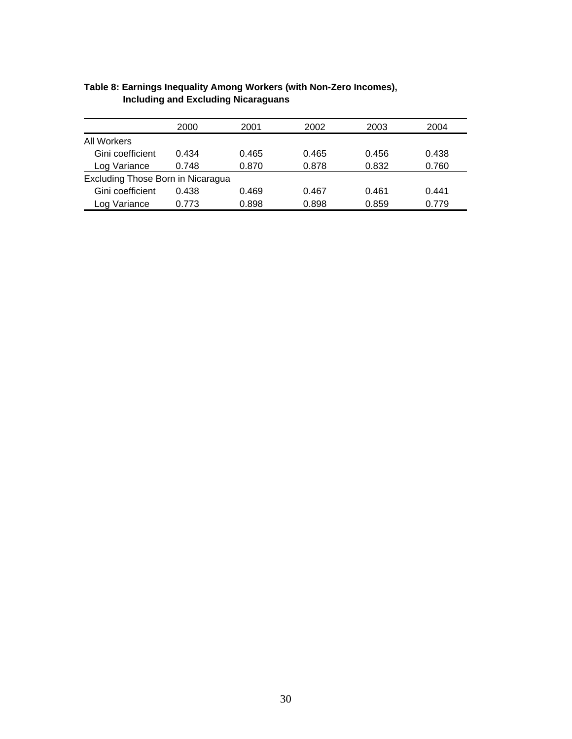|                                   | 2000  | 2001  | 2002  | 2003  | 2004  |
|-----------------------------------|-------|-------|-------|-------|-------|
| All Workers                       |       |       |       |       |       |
| Gini coefficient                  | 0.434 | 0.465 | 0.465 | 0.456 | 0.438 |
| Log Variance                      | 0.748 | 0.870 | 0.878 | 0.832 | 0.760 |
| Excluding Those Born in Nicaragua |       |       |       |       |       |
| Gini coefficient                  | 0.438 | 0.469 | 0.467 | 0.461 | 0.441 |
| Log Variance                      | 0.773 | 0.898 | 0.898 | 0.859 | 0.779 |

### **Table 8: Earnings Inequality Among Workers (with Non-Zero Incomes), Including and Excluding Nicaraguans**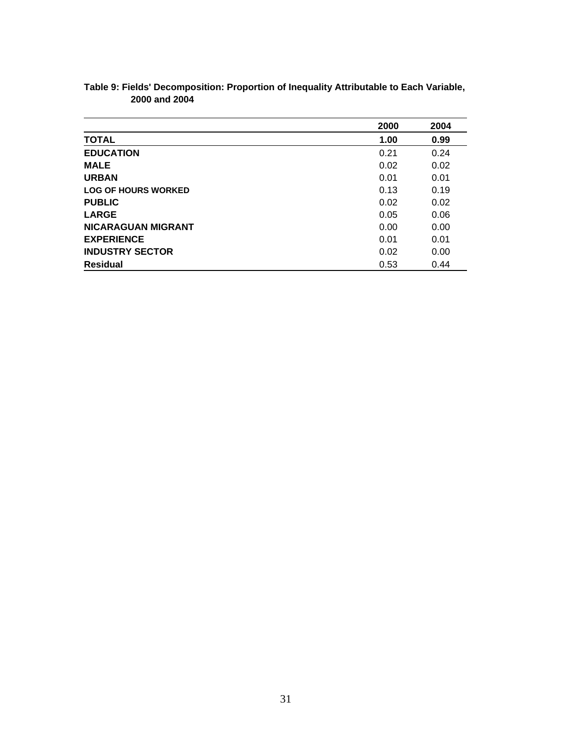|                            | 2000 | 2004 |
|----------------------------|------|------|
| <b>TOTAL</b>               | 1.00 | 0.99 |
| <b>EDUCATION</b>           | 0.21 | 0.24 |
| <b>MALE</b>                | 0.02 | 0.02 |
| <b>URBAN</b>               | 0.01 | 0.01 |
| <b>LOG OF HOURS WORKED</b> | 0.13 | 0.19 |
| <b>PUBLIC</b>              | 0.02 | 0.02 |
| <b>LARGE</b>               | 0.05 | 0.06 |
| <b>NICARAGUAN MIGRANT</b>  | 0.00 | 0.00 |
| <b>EXPERIENCE</b>          | 0.01 | 0.01 |
| <b>INDUSTRY SECTOR</b>     | 0.02 | 0.00 |
| <b>Residual</b>            | 0.53 | 0.44 |

|               | Table 9: Fields' Decomposition: Proportion of Inequality Attributable to Each Variable, |
|---------------|-----------------------------------------------------------------------------------------|
| 2000 and 2004 |                                                                                         |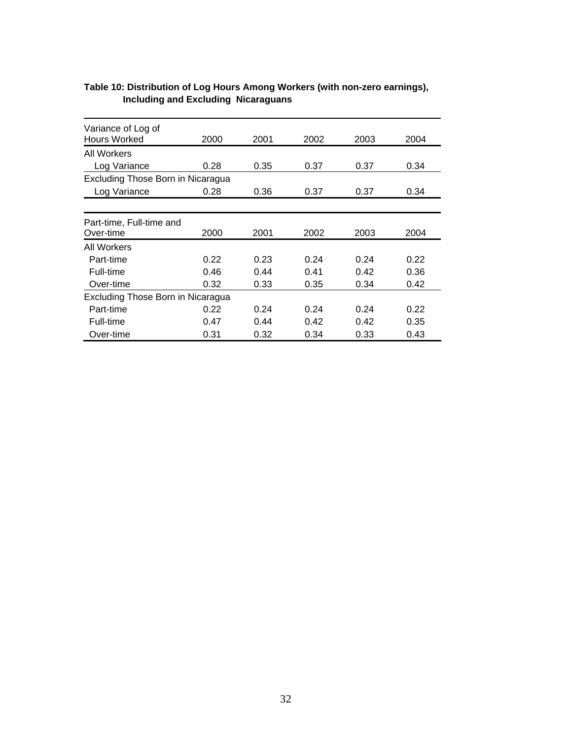| Variance of Log of<br>Hours Worked | 2000 | 2001 | 2002 | 2003 | 2004 |
|------------------------------------|------|------|------|------|------|
| All Workers                        |      |      |      |      |      |
| Log Variance                       | 0.28 | 0.35 | 0.37 | 0.37 | 0.34 |
| Excluding Those Born in Nicaragua  |      |      |      |      |      |
| Log Variance                       | 0.28 | 0.36 | 0.37 | 0.37 | 0.34 |
|                                    |      |      |      |      |      |
| Part-time, Full-time and           |      |      |      |      |      |
| Over-time                          | 2000 | 2001 | 2002 | 2003 | 2004 |
| All Workers                        |      |      |      |      |      |
| Part-time                          | 0.22 | 0.23 | 0.24 | 0.24 | 0.22 |
| Full-time                          | 0.46 | 0.44 | 0.41 | 0.42 | 0.36 |
| Over-time                          | 0.32 | 0.33 | 0.35 | 0.34 | 0.42 |
| Excluding Those Born in Nicaragua  |      |      |      |      |      |
| Part-time                          | 0.22 | 0.24 | 0.24 | 0.24 | 0.22 |
| Full-time                          | 0.47 | 0.44 | 0.42 | 0.42 | 0.35 |
| Over-time                          | 0.31 | 0.32 | 0.34 | 0.33 | 0.43 |

### **Table 10: Distribution of Log Hours Among Workers (with non-zero earnings), Including and Excluding Nicaraguans**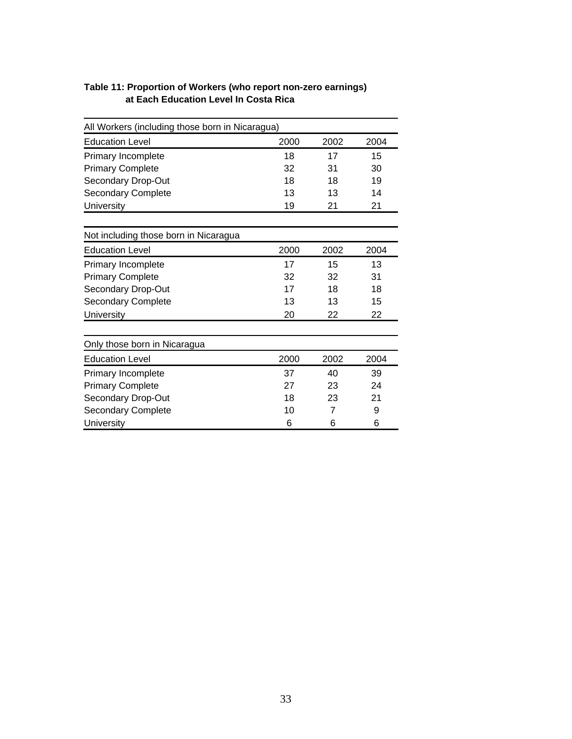#### **Table 11: Proportion of Workers (who report non-zero earnings) at Each Education Level In Costa Rica**

| All Workers (including those born in Nicaragua) |                |          |      |  |  |  |
|-------------------------------------------------|----------------|----------|------|--|--|--|
| <b>Education Level</b>                          | 2000           | 2002     | 2004 |  |  |  |
| Primary Incomplete                              | 18             | 17       |      |  |  |  |
| <b>Primary Complete</b>                         | 32             | 30       |      |  |  |  |
| Secondary Drop-Out                              | 18             | 18       |      |  |  |  |
| <b>Secondary Complete</b>                       | 13             | 13       |      |  |  |  |
| University                                      | 19<br>21<br>21 |          |      |  |  |  |
|                                                 |                |          |      |  |  |  |
| Not including those born in Nicaragua           |                |          |      |  |  |  |
| <b>Education Level</b>                          | 2000           | 2002     | 2004 |  |  |  |
| Primary Incomplete                              | 17             | 15       |      |  |  |  |
| <b>Primary Complete</b>                         | 32             | 32       |      |  |  |  |
| Secondary Drop-Out                              | 17             | 18       |      |  |  |  |
| <b>Secondary Complete</b>                       | 13             | 13       |      |  |  |  |
| University                                      | 20             | 22       |      |  |  |  |
| Only those born in Nicaragua                    |                |          |      |  |  |  |
| <b>Education Level</b>                          | 2000           | 2002     | 2004 |  |  |  |
| Primary Incomplete                              | 37             | 40       | 39   |  |  |  |
| <b>Primary Complete</b>                         | 27             | 23       | 24   |  |  |  |
| Secondary Drop-Out                              | 18             | 23<br>21 |      |  |  |  |
| <b>Secondary Complete</b>                       | 10             | 7        | 9    |  |  |  |
| University                                      | 6              | 6        | 6    |  |  |  |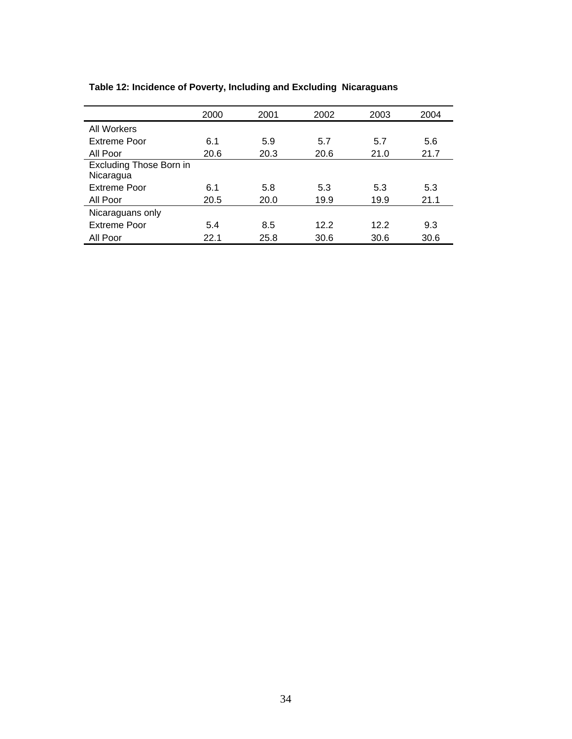|                         | 2000 | 2001 | 2002 | 2003 | 2004 |
|-------------------------|------|------|------|------|------|
| <b>All Workers</b>      |      |      |      |      |      |
| Extreme Poor            | 6.1  | 5.9  | 5.7  | 5.7  | 5.6  |
| All Poor                | 20.6 | 20.3 | 20.6 | 21.0 | 21.7 |
| Excluding Those Born in |      |      |      |      |      |
| Nicaragua               |      |      |      |      |      |
| Extreme Poor            | 6.1  | 5.8  | 5.3  | 5.3  | 5.3  |
| All Poor                | 20.5 | 20.0 | 19.9 | 19.9 | 21.1 |
| Nicaraguans only        |      |      |      |      |      |
| <b>Extreme Poor</b>     | 5.4  | 8.5  | 12.2 | 12.2 | 9.3  |
| All Poor                | 22.1 | 25.8 | 30.6 | 30.6 | 30.6 |

# **Table 12: Incidence of Poverty, Including and Excluding Nicaraguans**